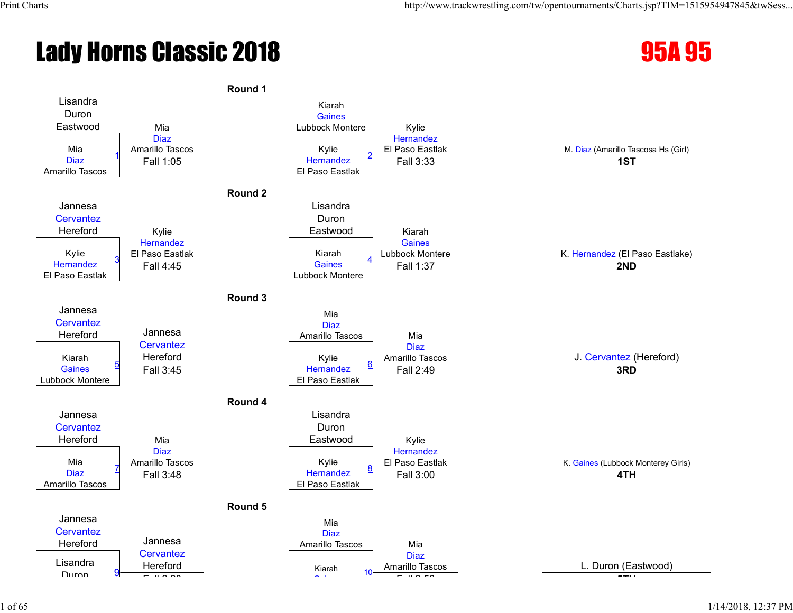# Lady Horns Classic 2018 **95A 95**



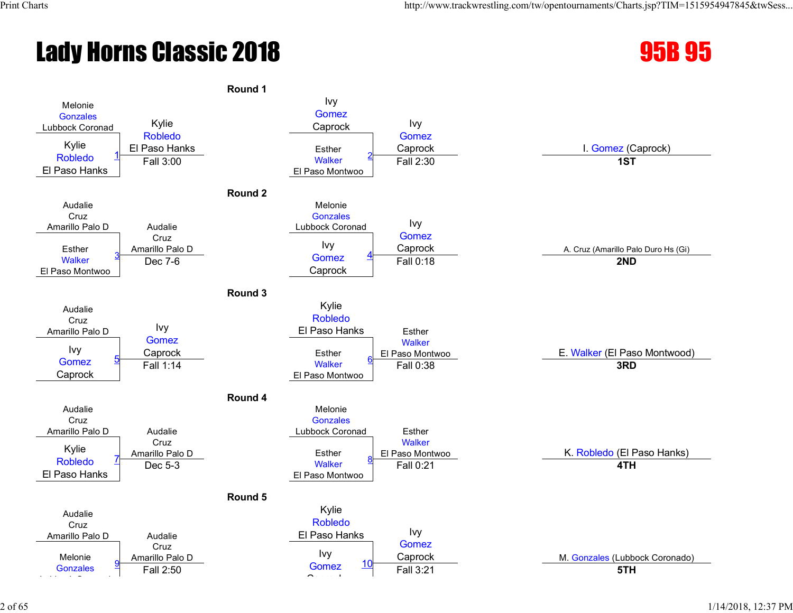# **Lady Horns Classic 2018 120 Classic 2018**



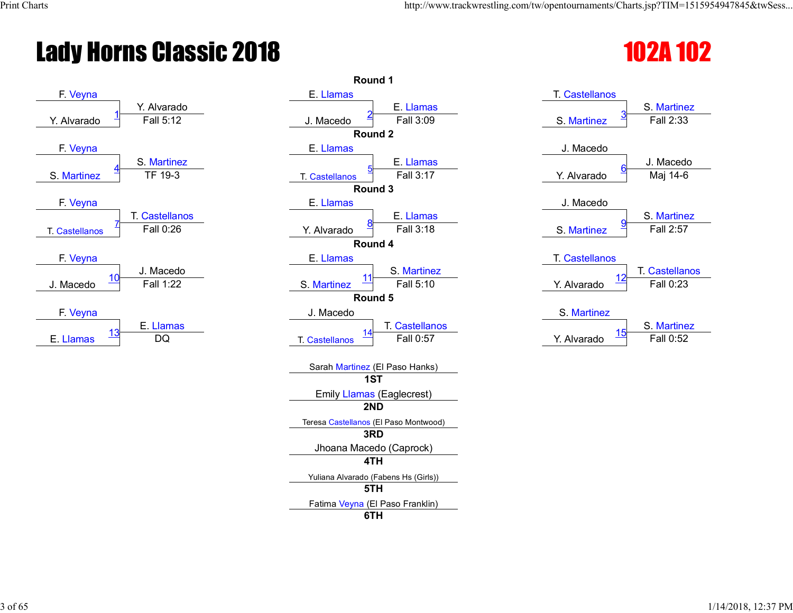# Lady Horns Classic 2018 102 2018



| Round 1                               |                                                                                                                                                                                                                                                                       |
|---------------------------------------|-----------------------------------------------------------------------------------------------------------------------------------------------------------------------------------------------------------------------------------------------------------------------|
| E. Llamas                             | <b>T. Castellanos</b>                                                                                                                                                                                                                                                 |
| E. Llamas                             | S. Martine                                                                                                                                                                                                                                                            |
| Fall 3:09<br>J. Macedo                | Fall 2:33<br>S. Martinez                                                                                                                                                                                                                                              |
| Round <sub>2</sub>                    |                                                                                                                                                                                                                                                                       |
| E. Llamas                             | J. Macedo                                                                                                                                                                                                                                                             |
| E. Llamas                             | J. Maced                                                                                                                                                                                                                                                              |
| <b>T. Castellanos</b>                 | Maj 14-6<br>Y. Alvarado                                                                                                                                                                                                                                               |
|                                       |                                                                                                                                                                                                                                                                       |
|                                       | J. Macedo                                                                                                                                                                                                                                                             |
|                                       | S. Martine                                                                                                                                                                                                                                                            |
|                                       | Fall 2:57<br>S. Martinez                                                                                                                                                                                                                                              |
|                                       |                                                                                                                                                                                                                                                                       |
|                                       | <b>T.</b> Castellanos                                                                                                                                                                                                                                                 |
|                                       | <b>T. Castellar</b>                                                                                                                                                                                                                                                   |
|                                       | Fall 0:23<br>Y. Alvarado                                                                                                                                                                                                                                              |
|                                       |                                                                                                                                                                                                                                                                       |
|                                       | S. Martinez                                                                                                                                                                                                                                                           |
|                                       | S. Martine<br>15                                                                                                                                                                                                                                                      |
|                                       | Fall 0:52<br>Y. Alvarado                                                                                                                                                                                                                                              |
| Sarah Martinez (El Paso Hanks)        |                                                                                                                                                                                                                                                                       |
| 1ST                                   |                                                                                                                                                                                                                                                                       |
| <b>Emily Llamas (Eaglecrest)</b>      |                                                                                                                                                                                                                                                                       |
| 2ND                                   |                                                                                                                                                                                                                                                                       |
| Teresa Castellanos (El Paso Montwood) |                                                                                                                                                                                                                                                                       |
|                                       |                                                                                                                                                                                                                                                                       |
| Jhoana Macedo (Caprock)               |                                                                                                                                                                                                                                                                       |
|                                       |                                                                                                                                                                                                                                                                       |
| Yuliana Alvarado (Fabens Hs (Girls))  |                                                                                                                                                                                                                                                                       |
| 5TH                                   |                                                                                                                                                                                                                                                                       |
| Fatima Veyna (El Paso Franklin)       |                                                                                                                                                                                                                                                                       |
|                                       |                                                                                                                                                                                                                                                                       |
|                                       | Fall 3:17<br>Round 3<br>E. Llamas<br>E. Llamas<br>Fall 3:18<br>Y. Alvarado<br>Round 4<br>E. Llamas<br>S. Martinez<br>11<br>Fall 5:10<br>S. Martinez<br>Round 5<br>J. Macedo<br><b>T. Castellanos</b><br>14<br>Fall 0:57<br><b>T. Castellanos</b><br>3RD<br>4TH<br>6TH |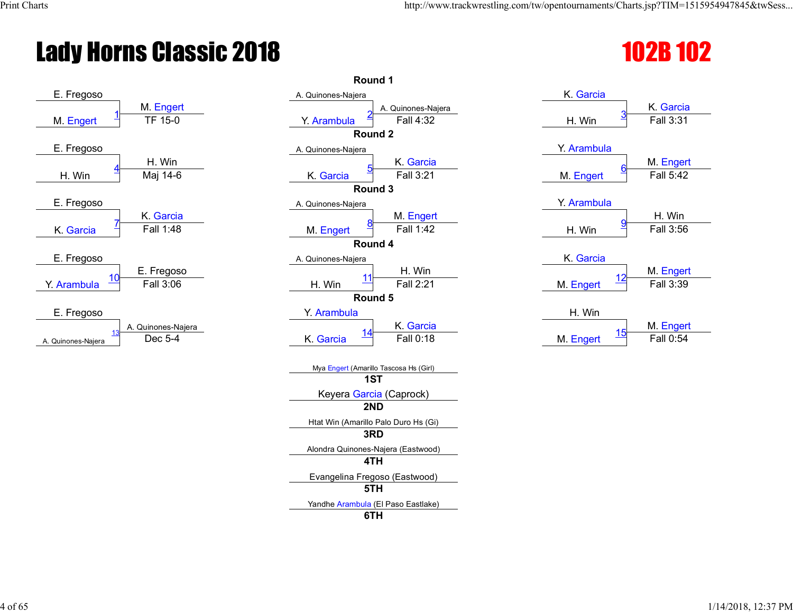# **Lady Horns Classic 2018** 102B 102B 102B 102B



|                           | Round 1                                                              |                                   |                       |
|---------------------------|----------------------------------------------------------------------|-----------------------------------|-----------------------|
| M. Engert                 | A. Quinones-Najera                                                   | K. Garcia                         | K. Garcia             |
| TF 15-0                   | A. Quinones-Najera<br>Fall 4:32<br>Y. Arambula<br>Round <sub>2</sub> | H. Win                            | Fall 3:31             |
|                           |                                                                      | Y. Arambula                       |                       |
| H. Win<br>Maj 14-6        | A. Quinones-Najera<br>K. Garcia<br>Fall 3:21<br>K. Garcia<br>Round 3 | M. Engert                         | M. Enger<br>Fall 5:42 |
|                           | A. Quinones-Najera                                                   | Y. Arambula                       |                       |
| K. Garcia<br>Fall 1:48    | M. Engert<br>Fall 1:42<br>M. Engert                                  | H. Win                            | H. Win<br>Fall 3:56   |
|                           | Round 4                                                              |                                   |                       |
|                           | A. Quinones-Najera                                                   | K. Garcia                         |                       |
| : Fregoso<br>Fall 3:06    | H. Win<br>11<br>Fall 2:21<br>H. Win                                  | 12<br>M. Engert                   | M. Enger<br>Fall 3:39 |
|                           | Round 5                                                              |                                   |                       |
| uinones-Najera<br>Dec 5-4 | Y. Arambula<br>K. Garcia<br><u>14</u><br>Fall 0:18<br>K. Garcia      | H. Win<br><u> 15</u><br>M. Engert | M. Enger<br>Fall 0:54 |
|                           | Mya Engert (Amarillo Tascosa Hs (Girl)<br>1ST                        |                                   |                       |
|                           | Keyera Garcia (Caprock)                                              |                                   |                       |
|                           | 2ND                                                                  |                                   |                       |
|                           | Htat Win (Amarillo Palo Duro Hs (Gi)<br>3RD                          |                                   |                       |
|                           | Alondra Quinones-Najera (Eastwood)<br>4TH                            |                                   |                       |
|                           | Evangelina Fregoso (Eastwood)<br>5TH                                 |                                   |                       |
|                           | Yandhe Arambula (El Paso Eastlake)<br>6TH                            |                                   |                       |

| <u>3</u><br>H. Win | Fall 3:31 |
|--------------------|-----------|
| Y. Arambula        |           |
|                    |           |
| <u>6</u>           | M. Engert |
| M. Engert          | Fall 5:42 |
|                    |           |
| Y. Arambula        |           |
|                    | H. Win    |
| <u>9</u><br>H. Win | Fall 3:56 |
|                    |           |
|                    |           |
| K. Garcia          |           |
|                    | M. Engert |
| 12<br>M. Engert    | Fall 3:39 |
|                    |           |
|                    |           |
| H. Win             |           |
| $\overline{ }$     | M. Engert |

K. Garcia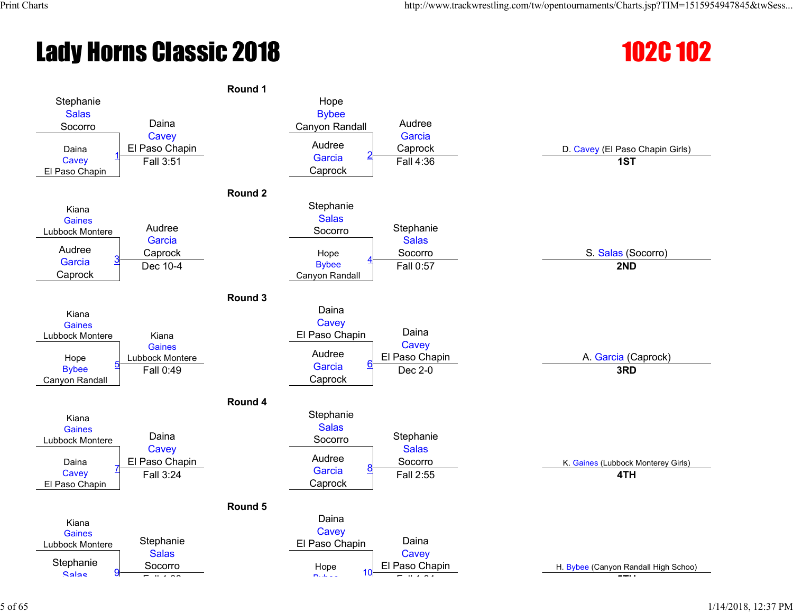# **Lady Horns Classic 2018** 102C 102



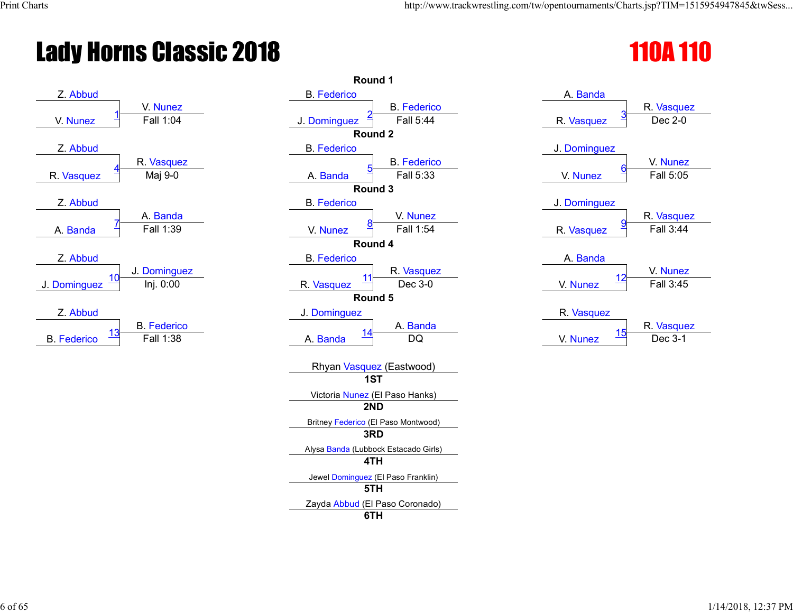# **Lady Horns Classic 2018** 110A 110



|                  | Round 1                              |              |           |
|------------------|--------------------------------------|--------------|-----------|
|                  | <b>B.</b> Federico                   | A. Banda     |           |
| V. Nunez         | <b>B.</b> Federico                   |              | R. Vasque |
| Fall 1:04        | Fall 5:44<br>J. Dominguez            | R. Vasquez   | Dec 2-0   |
|                  | Round <sub>2</sub>                   |              |           |
|                  | <b>B.</b> Federico                   | J. Dominguez |           |
| Vasquez          | <b>B.</b> Federico                   |              | V. Nunez  |
| Maj 9-0          | Fall 5:33<br>A. Banda                | V. Nunez     | Fall 5:05 |
|                  | Round 3                              |              |           |
|                  | <b>B.</b> Federico                   | J. Dominguez |           |
| A. Banda         | V. Nunez                             |              | R. Vasque |
| Fall 1:39        | Fall 1:54<br>V. Nunez                | R. Vasquez   | Fall 3:44 |
|                  | Round 4                              |              |           |
|                  | <b>B.</b> Federico                   | A. Banda     |           |
| <b>Dominguez</b> | R. Vasquez<br>11                     | 12           | V. Nunez  |
| Inj. 0:00        | R. Vasquez<br>Dec 3-0                | V. Nunez     | Fall 3:45 |
|                  | Round 5                              |              |           |
|                  | J. Dominguez                         | R. Vasquez   |           |
| . Federico       | A. Banda<br><u> 14</u>               | <u>15</u>    | R. Vasque |
| Fall 1:38        | <b>DQ</b><br>A. Banda                | V. Nunez     | Dec 3-1   |
|                  | Rhyan Vasquez (Eastwood)             |              |           |
|                  | 1ST                                  |              |           |
|                  | Victoria Nunez (El Paso Hanks)       |              |           |
|                  | 2ND                                  |              |           |
|                  | Britney Federico (El Paso Montwood)  |              |           |
|                  | 3RD                                  |              |           |
|                  | Alysa Banda (Lubbock Estacado Girls) |              |           |
|                  | 4TH                                  |              |           |
|                  | Jewel Dominguez (El Paso Franklin)   |              |           |
|                  | 5TH                                  |              |           |
|                  | Zayda Abbud (El Paso Coronado)       |              |           |
|                  | 6TH                                  |              |           |
|                  |                                      |              |           |

| A. Banda               |            |
|------------------------|------------|
|                        | R. Vasquez |
| <u>3</u><br>R. Vasquez | Dec 2-0    |
|                        |            |
| J. Dominguez           |            |
|                        | V. Nunez   |
| <u>6</u><br>V. Nunez   | Fall 5:05  |
|                        |            |
| J. Dominguez           |            |
|                        | R. Vasquez |
| <u>9</u><br>R. Vasquez | Fall 3:44  |
|                        |            |
| A. Banda               |            |
|                        | V. Nunez   |
| 12<br>V. Nunez         | Fall 3:45  |
|                        |            |
| R. Vasquez             |            |
|                        | R. Vasquez |
| <u> 15</u><br>V. Nunez | Dec 3-1    |
|                        |            |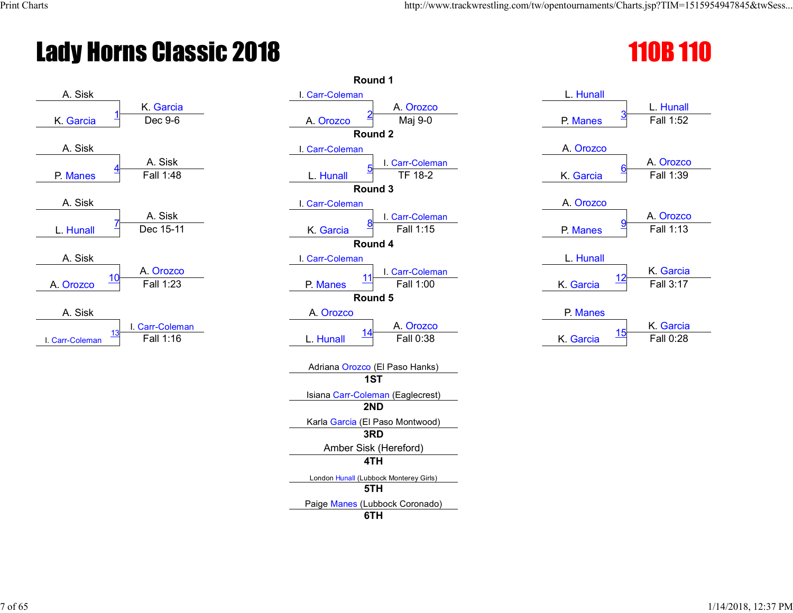# **Lady Horns Classic 2018**



|                                                               | Round 1                                          |                                                       |
|---------------------------------------------------------------|--------------------------------------------------|-------------------------------------------------------|
| A. Sisk<br>K. Garcia                                          | I. Carr-Coleman<br>A. Orozco                     | L. Hunall<br>L. Hunall                                |
| Dec 9-6<br>K. Garcia                                          | Maj 9-0<br>A. Orozco<br>Round 2                  | Fall 1:52<br>P. Manes                                 |
| A. Sisk                                                       | I. Carr-Coleman                                  | A. Orozco                                             |
| A. Sisk<br>Fall 1:48<br>P. Manes                              | I. Carr-Coleman<br>TF 18-2<br>L. Hunall          | A. Orozco<br>Fall 1:39<br>K. Garcia                   |
|                                                               | Round 3                                          |                                                       |
| A. Sisk<br>A. Sisk<br>Dec 15-11                               | I. Carr-Coleman<br>I. Carr-Coleman<br>Fall 1:15  | A. Orozco<br>A. Orozco<br>Fall 1:13                   |
| L. Hunall                                                     | K. Garcia<br>Round 4                             | P. Manes                                              |
| A. Sisk                                                       | I. Carr-Coleman                                  | L. Hunall                                             |
| A. Orozco<br><u> 10</u><br>Fall 1:23<br>A. Orozco             | I. Carr-Coleman<br>Fall 1:00<br>P. Manes         | K. Garcia<br>K. Garcia<br>Fall 3:17                   |
|                                                               | Round 5                                          |                                                       |
| A. Sisk<br>I. Carr-Coleman<br>13<br>Fall 1:16<br>Carr-Coleman | A. Orozco<br>A. Orozco<br>Fall 0:38<br>L. Hunall | P. Manes<br>K. Garcia<br>15<br>Fall 0:28<br>K. Garcia |
|                                                               | Adriana Orozco (El Paso Hanks)<br>1ST            |                                                       |
|                                                               | Isiana Carr-Coleman (Eaglecrest)                 |                                                       |
|                                                               | 2ND                                              |                                                       |
|                                                               | Karla Garcia (El Paso Montwood)                  |                                                       |
|                                                               | 3RD                                              |                                                       |
|                                                               | Amber Sisk (Hereford)<br>4TH                     |                                                       |
|                                                               |                                                  |                                                       |
|                                                               | London Hunall (Lubbock Monterey Girls)<br>5TH    |                                                       |
|                                                               | Paige Manes (Lubbock Coronado)                   |                                                       |
|                                                               | 6TH                                              |                                                       |

|  | <b>110B 110</b> |  |  |
|--|-----------------|--|--|
|  |                 |  |  |

|                 | L. Hunall             |
|-----------------|-----------------------|
| P. Manes        | <u>З</u><br>Fall 1:52 |
|                 |                       |
| A. Orozco       |                       |
|                 | A. Orozco<br><u>6</u> |
| K. Garcia       | Fall 1:39             |
| A. Orozco       |                       |
|                 | A. Orozco             |
| P. Manes        | <u>g</u><br>Fall 1:13 |
| L. Hunall       |                       |
|                 | K. Garcia             |
| 12<br>K. Garcia | Fall 3:17             |
|                 |                       |
| P. Manes        |                       |
| 4 E             | K. Garcia             |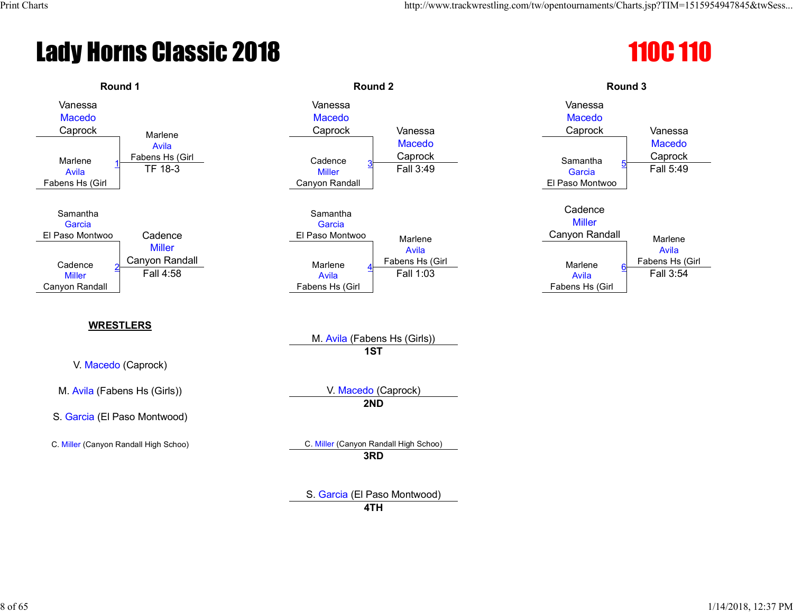# **Lady Horns Classic 2018** 110C 110C 110



S. Garcia (El Paso Montwood) **4TH**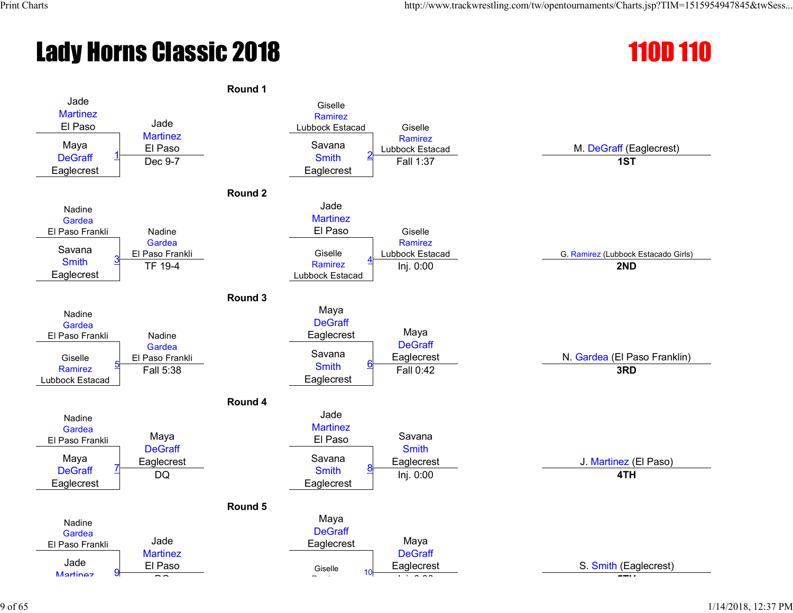# **Lady Horns Classic 2018** 110D 110

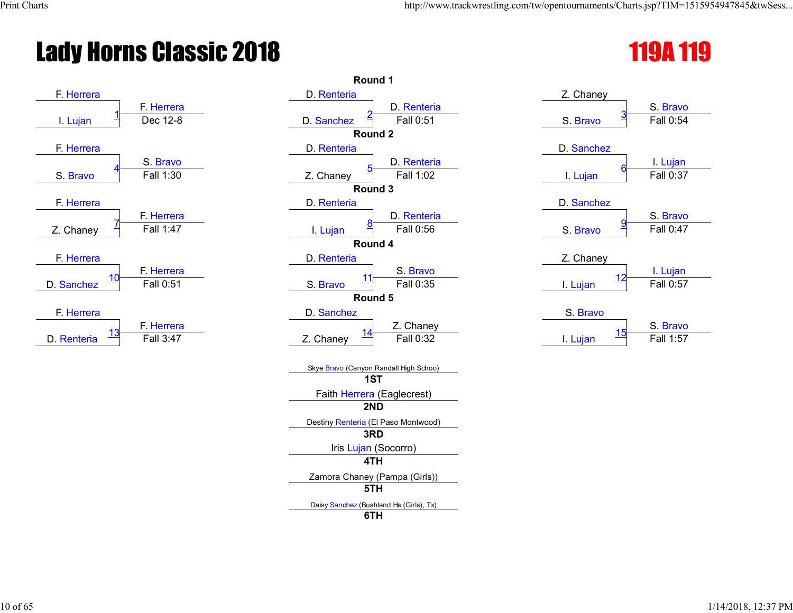# **Lady Horns Classic 2018** 119A 119



|                         | Round 1                                        |                        |           |
|-------------------------|------------------------------------------------|------------------------|-----------|
|                         | D. Renteria                                    | Z. Chaney              |           |
| - Herrera               | D. Renteria                                    |                        | S. Bravo  |
| Dec 12-8                | Fall 0:51<br>D. Sanchez                        | S. Bravo               | Fall 0:54 |
|                         | Round 2                                        |                        |           |
|                         | D. Renteria                                    | D. Sanchez             |           |
| S. Bravo                | D. Renteria                                    |                        | I Lujan   |
| Fall 1:30               | Fall 1:02<br>Z. Chaney                         | I. Lujan               | Fall 0:37 |
|                         | Round 3                                        |                        |           |
|                         | D. Renteria                                    | D. Sanchez             |           |
| - Herrera               | D. Renteria                                    |                        | S. Bravo  |
| $\overline{F}$ all 1:47 | Fall 0:56<br>I. Lujan                          | S. Bravo               | Fall 0:47 |
|                         | Round 4                                        |                        |           |
|                         | D. Renteria                                    | Z. Chaney              |           |
| - Herrera               | S. Bravo<br>11                                 |                        | I. Lujan  |
| Fall 0:51               | Fall 0:35<br>S. Bravo                          | <u>12</u><br>I. Lujan  | Fall 0:57 |
|                         | Round 5                                        |                        |           |
|                         | D. Sanchez                                     | S. Bravo               |           |
| - Herrera               | Z. Chaney                                      |                        | S. Bravo  |
| Fall 3:47               | <u>14</u><br>Fall 0:32<br>Z. Chaney            | <u> 15</u><br>I. Lujan | Fall 1:57 |
|                         | Skye Bravo (Canyon Randall High Schoo)         |                        |           |
|                         | 1ST                                            |                        |           |
|                         | Faith Herrera (Eaglecrest)                     |                        |           |
|                         | 2ND                                            |                        |           |
|                         | Destiny Renteria (El Paso Montwood)            |                        |           |
|                         | 3RD                                            |                        |           |
|                         | Iris Lujan (Socorro)                           |                        |           |
|                         | 4TH                                            |                        |           |
|                         | Zamora Chaney (Pampa (Girls))                  |                        |           |
|                         | 5TH                                            |                        |           |
|                         | Daisy Sanchez (Bushland Hs (Girls), Tx)<br>6TH |                        |           |
|                         |                                                |                        |           |

| Z. Chaney            |           |
|----------------------|-----------|
|                      | S. Bravo  |
| <u>3</u><br>S. Bravo | Fall 0:54 |
|                      |           |
| D. Sanchez           |           |
|                      | I. Lujan  |
| <u>6</u><br>I. Lujan | Fall 0:37 |
|                      |           |
| D. Sanchez           |           |
|                      | S. Bravo  |
| <u>g</u><br>S. Bravo | Fall 0:47 |
|                      |           |
| Z. Chaney            |           |
| <u> 12</u>           | I. Lujan  |
| I. Lujan             | Fall 0:57 |
|                      |           |
| S. Bravo             |           |
| <u> 15</u>           | S. Bravo  |
| I. Luian             | Fall 1:57 |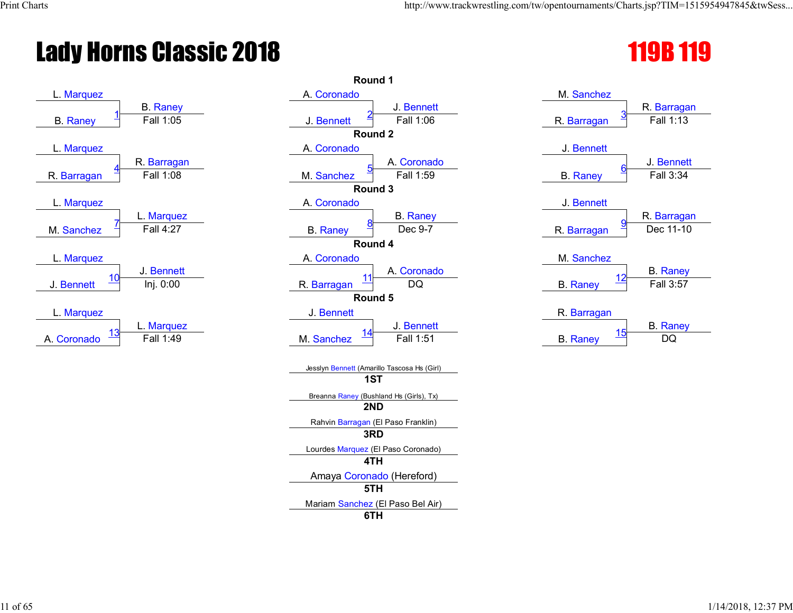# **Lady Horns Classic 2018** 119 and 119 and 119 and 119 and 119 and 119 and 119 and 119 and 119 and 119 and 119 and 119 and 119 and 119 and 119 and 119 and 119 and 119 and 119 and 119 and 119 and 119 and 119 and 119 and 119



|                 | Round 1                                        |                               |
|-----------------|------------------------------------------------|-------------------------------|
|                 | A. Coronado                                    | M. Sanchez                    |
| <b>B.</b> Raney | J. Bennett                                     | R. Barraga                    |
| Fall 1:05       | Fall 1:06<br>J. Bennett                        | Fall 1:13<br>R. Barragan      |
|                 | Round 2                                        |                               |
|                 | A. Coronado                                    | J. Bennett                    |
| Barragan        | A. Coronado                                    | J. Bennett                    |
| Fall 1:08       | Fall 1:59<br>M. Sanchez                        | Fall 3:34<br><b>B.</b> Raney  |
|                 | Round 3                                        |                               |
|                 | A. Coronado                                    | J. Bennett                    |
| Marquez         | <b>B.</b> Raney                                | R. Barraga                    |
| Fall $4:27$     | Dec 9-7<br><b>B.</b> Raney                     | Dec 11-10<br>R. Barragan      |
|                 | Round 4                                        |                               |
|                 | A. Coronado                                    | M. Sanchez                    |
| . Bennett       | A. Coronado<br>11                              | <b>B.</b> Raney<br>12         |
| Inj. 0:00       | DQ<br>R. Barragan                              | Fall 3:57<br><b>B.</b> Raney  |
|                 | Round 5                                        |                               |
|                 | J. Bennett                                     | R. Barragan                   |
| . Marquez       | J. Bennett                                     | <b>B.</b> Raney<br><u> 15</u> |
| Fall 1:49       | Fall 1:51<br>M. Sanchez                        | DQ<br><b>B.</b> Raney         |
|                 | Jesslyn Bennett (Amarillo Tascosa Hs (Girl)    |                               |
|                 | 1ST                                            |                               |
|                 | Breanna Raney (Bushland Hs (Girls), Tx)<br>2ND |                               |
|                 | Rahvin Barragan (El Paso Franklin)             |                               |
|                 | 3RD                                            |                               |
|                 | Lourdes Marquez (El Paso Coronado)             |                               |
|                 | 4TH                                            |                               |
|                 | Amaya Coronado (Hereford)                      |                               |
|                 | 5TH                                            |                               |
|                 | Mariam Sanchez (El Paso Bel Air)               |                               |
|                 | 6TH                                            |                               |

| M. Sanchez                    |                 |
|-------------------------------|-----------------|
|                               | R. Barragan     |
| $\overline{3}$<br>R. Barragan | Fall 1:13       |
|                               |                 |
| J. Bennett                    |                 |
|                               | J. Bennett      |
| <u>6</u><br><b>B.</b> Raney   | Fall 3:34       |
|                               |                 |
| J. Bennett                    |                 |
|                               | R. Barragan     |
| <u>ទ</u><br>R. Barragan       | Dec 11-10       |
|                               |                 |
| M. Sanchez                    |                 |
|                               | <b>B.</b> Raney |
| <b>B.</b> Raney               | Fall 3:57       |
|                               |                 |
| R. Barragan                   |                 |
| 15                            | <b>B.</b> Raney |
|                               |                 |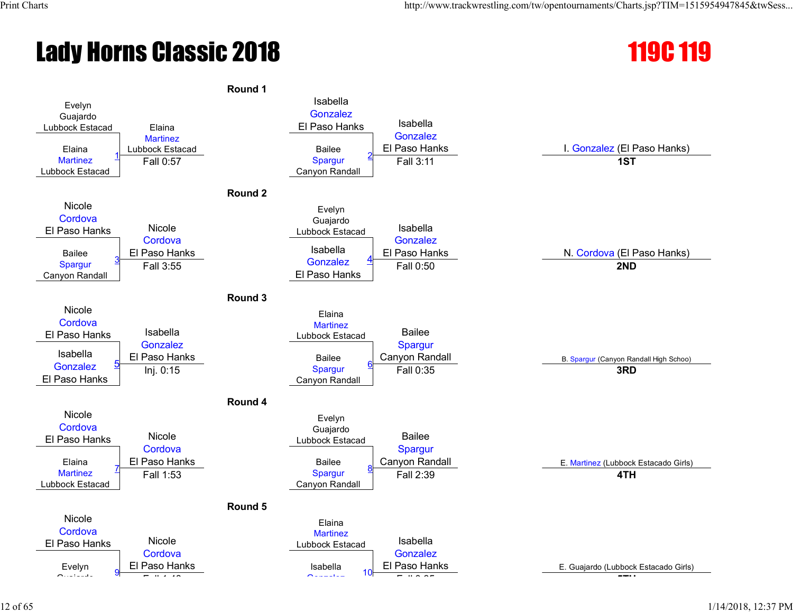# Lady Horns Classic 2018 119C 119

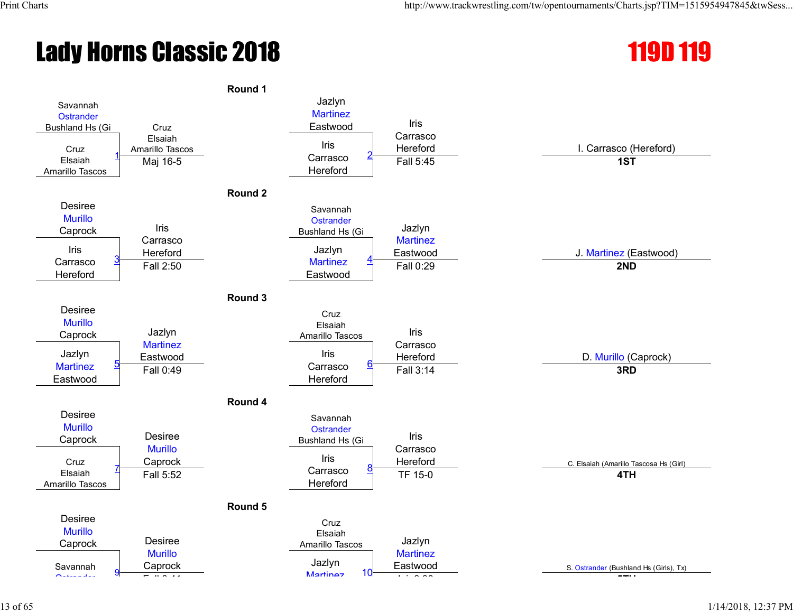# **Lady Horns Classic 2018** 119 and 119 and 119 and 119 and 119 and 119 and 119 and 119 and 119 and 119 and 119 and 119 and 119 and 119 and 119 and 119 and 119 and 119 and 119 and 119 and 119 and 119 and 119 and 119 and 119



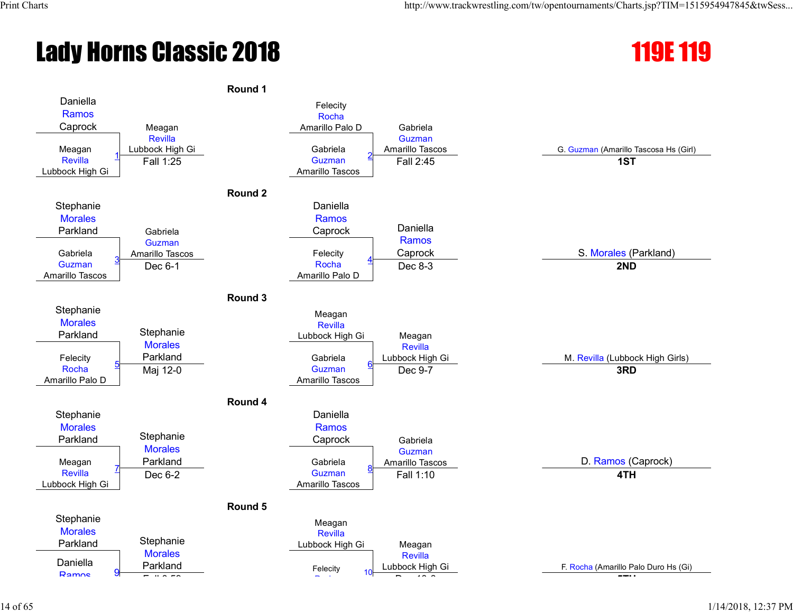# **Lady Horns Classic 2018** 119E 119



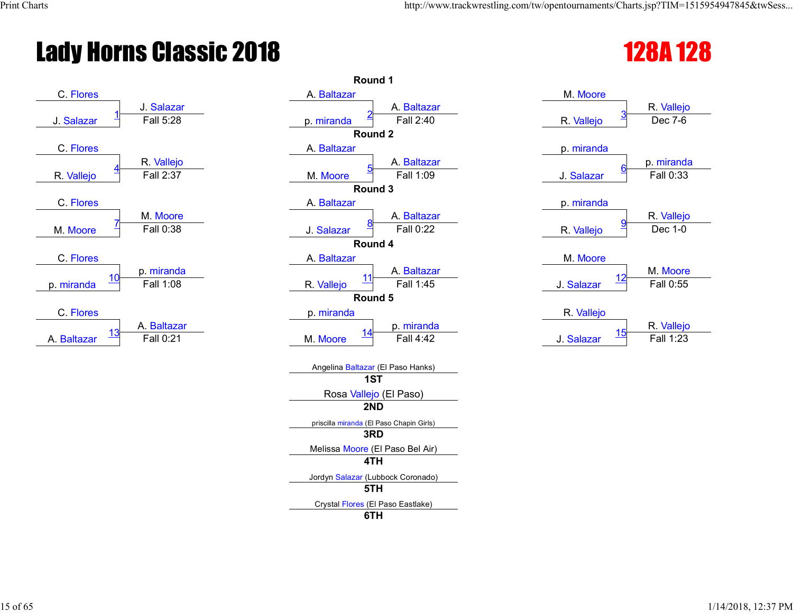# Lady Horns Classic 2018 128 and 128 and 128 and 128 and 128 and 128 and 128 and 128 and 128 and 128 and 128 and 128 and 128 and 128 and 128 and 128 and 128 and 128 and 128 and 128 and 128 and 128 and 128 and 128 and 128 an



|                       | Round 1                                         |                                       |
|-----------------------|-------------------------------------------------|---------------------------------------|
|                       | A. Baltazar                                     | M. Moore                              |
| Salazar               | A. Baltazar                                     | R. Vallejo                            |
| Fall 5:28             | Fall 2:40<br>p. miranda                         | Dec 7-6<br>R. Vallejo                 |
|                       | Round <sub>2</sub>                              |                                       |
|                       | A. Baltazar                                     | p. miranda                            |
| R. Vallejo            | A. Baltazar                                     | p. mirand                             |
| Fall 2:37             | Fall 1:09<br>M. Moore                           | Fall 0:33<br>J. Salazar               |
|                       | Round 3                                         |                                       |
|                       | A. Baltazar                                     | p. miranda                            |
| M. Moore<br>Fall 0:38 | A. Baltazar<br>Fall 0:22                        | R. Vallejo<br>Dec 1-0                 |
|                       | J. Salazar                                      | R. Vallejo                            |
|                       | Round 4<br>A. Baltazar                          | M. Moore                              |
| . miranda             | A. Baltazar                                     | M. Moore                              |
| Fall 1:08             | 11<br>Fall 1:45<br>R. Vallejo                   | 12<br>Fall 0:55<br>J. Salazar         |
|                       | Round 5                                         |                                       |
|                       | p. miranda                                      | R. Vallejo                            |
| . Baltazar            | p. miranda                                      | R. Vallejo                            |
| Fall 0:21             | <u> 14</u><br>Fall 4:42<br>M. Moore             | <u> 15</u><br>Fall 1:23<br>J. Salazar |
|                       |                                                 |                                       |
|                       | Angelina Baltazar (El Paso Hanks)               |                                       |
|                       | 1ST                                             |                                       |
|                       | Rosa Vallejo (El Paso)                          |                                       |
|                       | 2ND                                             |                                       |
|                       | priscilla miranda (El Paso Chapin Girls)<br>3RD |                                       |
|                       | Melissa Moore (El Paso Bel Air)                 |                                       |
|                       | 4TH                                             |                                       |
|                       | Jordyn Salazar (Lubbock Coronado)               |                                       |
|                       | 5TH                                             |                                       |
|                       | Crystal Flores (El Paso Eastlake)               |                                       |
|                       | 6TH                                             |                                       |

| M. Moore                     |            |
|------------------------------|------------|
|                              | R. Vallejo |
| $\overline{3}$<br>R. Vallejo | Dec 7-6    |
|                              |            |
| p. miranda                   |            |
|                              | p. miranda |
| <u>6</u><br>J. Salazar       | Fall 0:33  |
|                              |            |
| p. miranda                   |            |
|                              | R. Vallejo |
| <u>g</u><br>R. Vallejo       | Dec 1-0    |
|                              |            |
| M. Moore                     |            |
|                              | M. Moore   |
| 12<br>J. Salazar             | Fall 0:55  |
|                              |            |
| R. Vallejo                   |            |
|                              | R. Vallejo |
| 15<br>J. Salazar             | Fall 1:23  |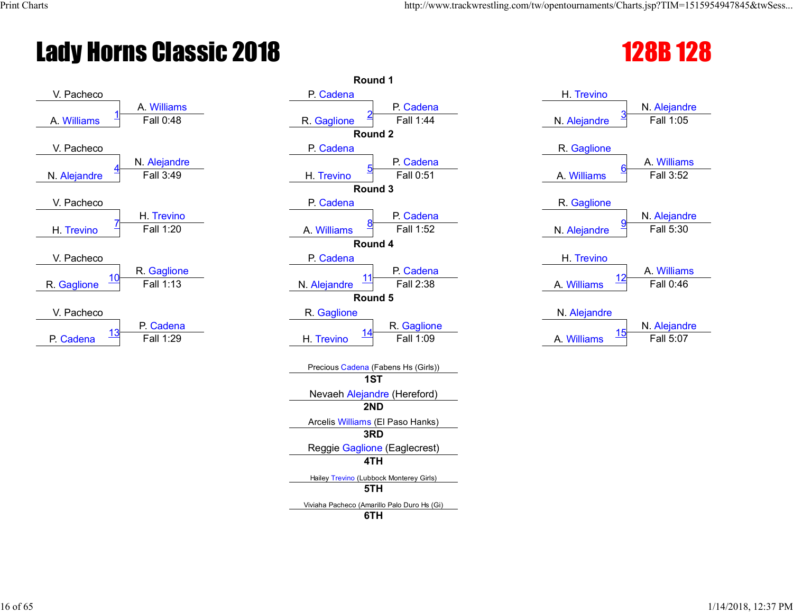# Lady Horns Classic 2018 128 128 128 128 128 128



|                  | Round 1                                     |                           |
|------------------|---------------------------------------------|---------------------------|
|                  | P. Cadena                                   | H. Trevino                |
| <b>Williams</b>  | P. Cadena                                   | N. Alejand                |
| Fall 0:48        | Fall 1:44<br>R. Gaglione                    | Fall 1:05<br>N. Alejandre |
|                  | Round <sub>2</sub>                          |                           |
|                  | P. Cadena                                   | R. Gaglione               |
| <b>Alejandre</b> | P. Cadena                                   | A. William                |
| Fall 3:49        | Fall 0:51<br>H. Trevino                     | Fall 3:52<br>A. Williams  |
|                  | Round 3                                     |                           |
|                  | P. Cadena                                   | R. Gaglione               |
| I. Trevino       | P. Cadena                                   | N. Alejand                |
| Fall 1:20        | Fall 1:52<br>A. Williams                    | Fall 5:30<br>N. Alejandre |
|                  | Round 4                                     |                           |
|                  | P. Cadena                                   | H. Trevino                |
| . Gaglione       | P. Cadena<br>11                             | A. William                |
| Fall 1:13        | Fall 2:38<br>N. Alejandre                   | Fall 0:46<br>A. Williams  |
|                  | Round 5                                     |                           |
|                  | R. Gaglione                                 | N. Alejandre              |
| Cadena           | R. Gaglione<br><u> 14</u>                   | N. Alejand<br><u> 15</u>  |
| Fall 1:29        | Fall 1:09<br>H. Trevino                     | Fall 5:07<br>A. Williams  |
|                  |                                             |                           |
|                  | Precious Cadena (Fabens Hs (Girls))<br>1ST  |                           |
|                  |                                             |                           |
|                  | Nevaeh Alejandre (Hereford)<br>2ND          |                           |
|                  |                                             |                           |
|                  | Arcelis Williams (El Paso Hanks)<br>3RD     |                           |
|                  | Reggie Gaglione (Eaglecrest)                |                           |
|                  | 4TH                                         |                           |
|                  | Hailey Trevino (Lubbock Monterey Girls)     |                           |
|                  | 5TH                                         |                           |
|                  | Viviaha Pacheco (Amarillo Palo Duro Hs (Gi) |                           |
|                  | 6TH                                         |                           |
|                  |                                             |                           |

| H. Trevino               |               |
|--------------------------|---------------|
|                          | N. Alejandre  |
| <u>3</u><br>N. Alejandre | Fall 1:05     |
|                          |               |
| R. Gaglione              |               |
| 6                        | A. Williams   |
| A. Williams              | Fall 3:52     |
|                          |               |
| R. Gaglione              |               |
| <u>ទ</u>                 | N. Alejandre  |
| N. Alejandre             | Fall 5:30     |
|                          |               |
| H. Trevino               |               |
| 12                       | A. Williams   |
| A. Williams              | Fall 0:46     |
|                          |               |
| N. Alejandre             |               |
|                          | NI Alaiamalua |

|  | A. Williams | N. Alejandre |
|--|-------------|--------------|
|  |             | Fall 5:07    |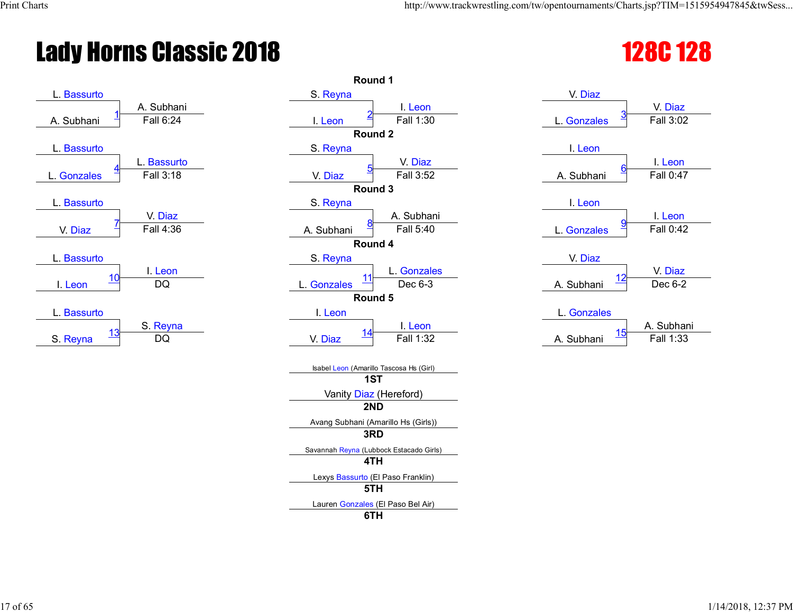# **Lady Horns Classic 2018**



| V. Diaz<br>V. Diaz<br>Fall 3:02<br>L. Gonzales |
|------------------------------------------------|
|                                                |
|                                                |
|                                                |
|                                                |
| I. Leon                                        |
| I. Leon                                        |
| Fall 0:47<br>A. Subhani                        |
|                                                |
| I. Leon                                        |
| I. Leon                                        |
| Fall 0:42<br>L. Gonzales                       |
|                                                |
| V. Diaz                                        |
| V. Diaz<br>12                                  |
| Dec 6-2<br>A. Subhani                          |
|                                                |
| L. Gonzales                                    |
| A. Subhar<br><u>15</u>                         |
| Fall 1:33<br>A. Subhani                        |
|                                                |
|                                                |
|                                                |
|                                                |
|                                                |
|                                                |
|                                                |
|                                                |
|                                                |
|                                                |
|                                                |
|                                                |
|                                                |

| 28C 12 | <b>00</b> |
|--------|-----------|
| ı.     | <u>IZ</u> |

| L. Gonzales | 3<br>Fall 3:02                   |
|-------------|----------------------------------|
|             |                                  |
| I. Leon     |                                  |
| A. Subhani  | I. Leon<br>6<br><b>Fall 0:47</b> |
|             |                                  |
| I. Leon     |                                  |
|             | I. Leon                          |
| L. Gonzales | <u>ទ</u><br>Fall 0:42            |
|             |                                  |
| V. Diaz     |                                  |
|             | V. Diaz                          |
| A. Subhani  | Dec 6-2                          |
|             |                                  |
| L. Gonzales |                                  |
|             | $\sim$ $\sim$ $\sim$             |

|           | A. Subhani       |
|-----------|------------------|
| A Subhani | <b>Fall 1:33</b> |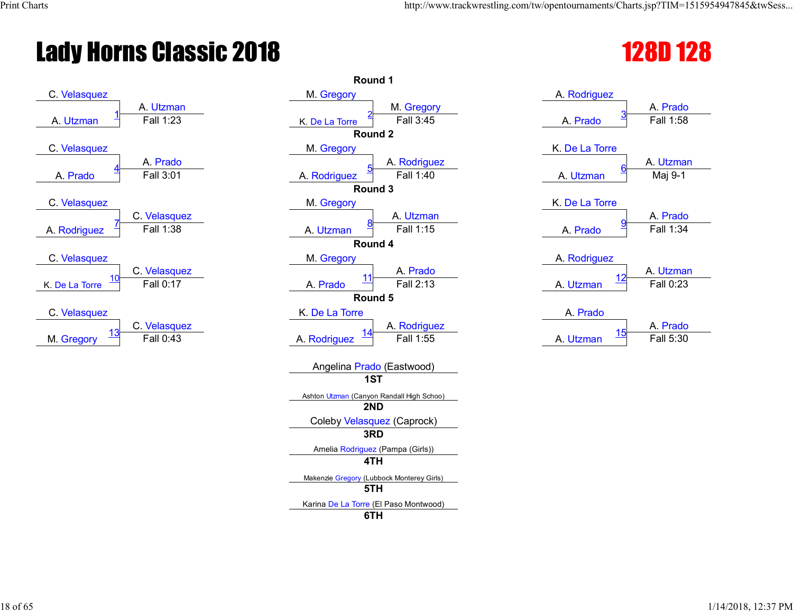# Lady Horns Classic 2018 128D 128



|                           | Round 1                                   |                             |
|---------------------------|-------------------------------------------|-----------------------------|
|                           | M. Gregory                                | A. Rodriguez                |
| A. Utzman                 | M. Gregory                                | A. Prado                    |
| Fall 1:23                 | Fall 3:45<br>K. De La Torre               | Fall 1:58<br>A. Prado       |
|                           | Round 2                                   |                             |
|                           | M. Gregory                                | K. De La Torre              |
| A. Prado                  | A. Rodriguez                              | A. Utzma                    |
| Fall 3:01                 | Fall 1:40<br>A. Rodriguez                 | Maj 9-1<br>A. Utzman        |
|                           | Round 3                                   |                             |
|                           | M. Gregory                                | K. De La Torre              |
| C. Velasquez              | A. Utzman                                 | A. Prado                    |
| Fall 1:38                 | Fall 1:15<br>A. Utzman                    | Fall 1:34<br>A. Prado       |
|                           | Round 4                                   |                             |
|                           | M. Gregory                                | A. Rodriguez                |
| C. Velasquez              | A. Prado<br><u> 11</u>                    | A. Utzma<br><u> 12</u>      |
| Fall 0:17                 | Fall 2:13<br>A. Prado                     | Fall 0:23<br>A. Utzman      |
|                           | Round 5                                   |                             |
|                           | K. De La Torre                            | A. Prado                    |
| C. Velasquez<br>Fall 0:43 | A. Rodriguez<br>Fall 1:55                 | A. Prado<br>15<br>Fall 5:30 |
|                           | A. Rodriguez                              | A. Utzman                   |
|                           | Angelina Prado (Eastwood)                 |                             |
|                           | 1ST                                       |                             |
|                           | Ashton Utzman (Canyon Randall High Schoo) |                             |
|                           | 2ND                                       |                             |
|                           | Coleby Velasquez (Caprock)                |                             |
|                           | 3RD                                       |                             |
|                           | Amelia Rodriguez (Pampa (Girls))          |                             |
|                           | 4TH                                       |                             |
|                           | Makenzie Gregory (Lubbock Monterey Girls) |                             |
|                           | 5TH                                       |                             |
|                           | Karina De La Torre (El Paso Montwood)     |                             |
|                           | 6TH                                       |                             |

|                      | 4 L L L                |
|----------------------|------------------------|
| A. Rodriguez         |                        |
| <u>3</u><br>A. Prado | A. Prado<br>Fall 1:58  |
| K. De La Torre       |                        |
| 6                    | A. Utzman              |
| A. Utzman            | Maj 9-1                |
| K. De La Torre       |                        |
| <u>ទ</u><br>A. Prado | A. Prado<br>Fall 1:34  |
|                      |                        |
| A. Rodriguez         |                        |
| A. Utzman            | A. Utzman<br>Fall 0:23 |
| A. Prado             |                        |

| A Fiauu   |           |
|-----------|-----------|
|           | A. Prado  |
| A. Utzman | Fall 5:30 |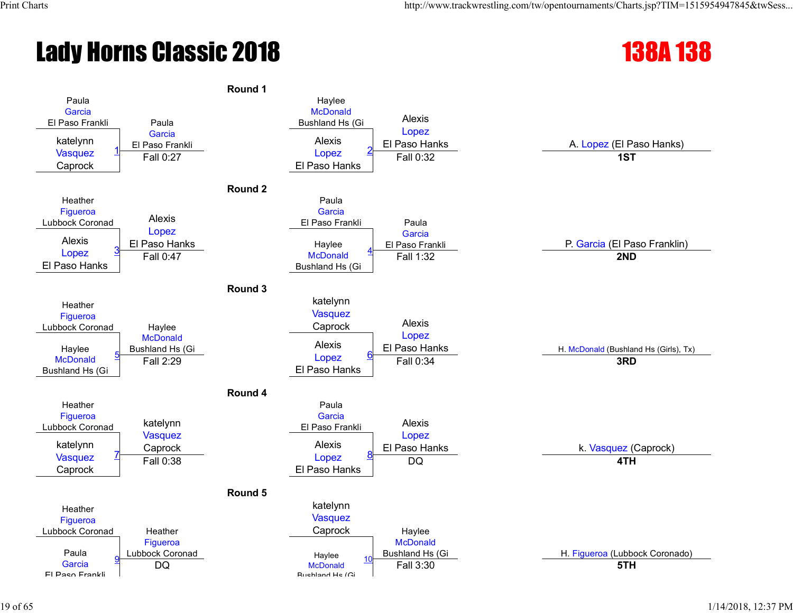# **Lady Horns Classic 2018** 138A 138

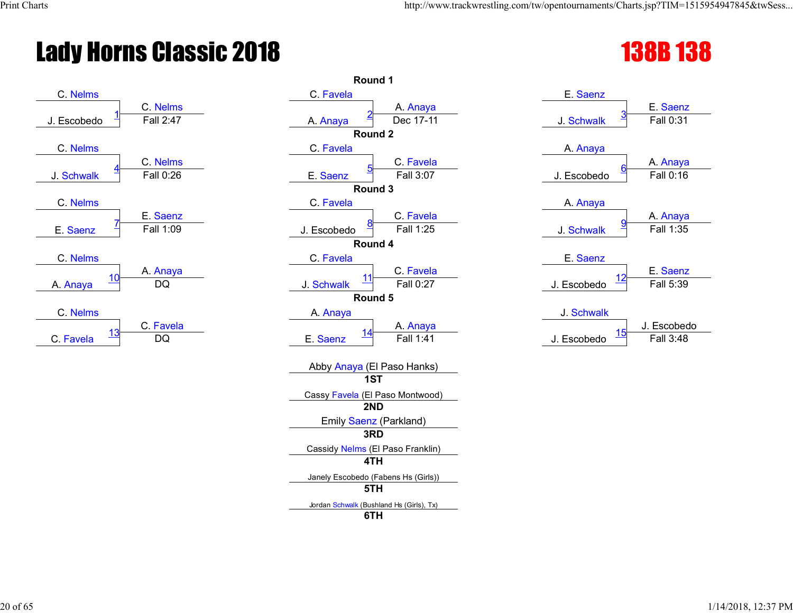# **Lady Horns Classic 2018**



| Round 1                                  |                                                                                                                                                                                                                                                                      |
|------------------------------------------|----------------------------------------------------------------------------------------------------------------------------------------------------------------------------------------------------------------------------------------------------------------------|
| C. Favela                                | E. Saenz                                                                                                                                                                                                                                                             |
| A. Anaya                                 | E. Saenz                                                                                                                                                                                                                                                             |
| Dec 17-11<br>A. Anaya                    | Fall 0:31<br>J. Schwalk                                                                                                                                                                                                                                              |
| Round <sub>2</sub>                       |                                                                                                                                                                                                                                                                      |
| C. Favela                                | A. Anaya                                                                                                                                                                                                                                                             |
| C. Favela                                | A. Anaya                                                                                                                                                                                                                                                             |
|                                          | Fall 0:16<br>J. Escobedo                                                                                                                                                                                                                                             |
|                                          |                                                                                                                                                                                                                                                                      |
|                                          | A. Anaya                                                                                                                                                                                                                                                             |
|                                          | A. Anaya                                                                                                                                                                                                                                                             |
|                                          | Fall 1:35<br>J. Schwalk                                                                                                                                                                                                                                              |
|                                          |                                                                                                                                                                                                                                                                      |
|                                          | E. Saenz                                                                                                                                                                                                                                                             |
|                                          | E. Saenz<br>12                                                                                                                                                                                                                                                       |
|                                          | J. Escobedo<br>Fall 5:39                                                                                                                                                                                                                                             |
|                                          |                                                                                                                                                                                                                                                                      |
|                                          | J. Schwalk                                                                                                                                                                                                                                                           |
|                                          | J. Escobed<br>15                                                                                                                                                                                                                                                     |
|                                          | Fall 3:48<br>J. Escobedo                                                                                                                                                                                                                                             |
|                                          |                                                                                                                                                                                                                                                                      |
| 1ST                                      |                                                                                                                                                                                                                                                                      |
| Cassy Favela (El Paso Montwood)          |                                                                                                                                                                                                                                                                      |
| 2ND                                      |                                                                                                                                                                                                                                                                      |
| Emily Saenz (Parkland)                   |                                                                                                                                                                                                                                                                      |
| 3RD                                      |                                                                                                                                                                                                                                                                      |
| Cassidy Nelms (El Paso Franklin)         |                                                                                                                                                                                                                                                                      |
| 4TH                                      |                                                                                                                                                                                                                                                                      |
| Janely Escobedo (Fabens Hs (Girls))      |                                                                                                                                                                                                                                                                      |
| 5TH                                      |                                                                                                                                                                                                                                                                      |
| Jordan Schwalk (Bushland Hs (Girls), Tx) |                                                                                                                                                                                                                                                                      |
| 6TH                                      |                                                                                                                                                                                                                                                                      |
|                                          | E. Saenz<br>Fall 3:07<br>Round 3<br>C. Favela<br>C. Favela<br>Fall 1:25<br>J. Escobedo<br>Round 4<br>C. Favela<br>C. Favela<br>11<br>Fall 0:27<br>J. Schwalk<br>Round 5<br>A. Anaya<br>A. Anaya<br><u> 14</u><br>Fall 1:41<br>E. Saenz<br>Abby Anaya (El Paso Hanks) |

| <b>138B138</b> |  |
|----------------|--|
|----------------|--|

| E. Saenz                               |                             |
|----------------------------------------|-----------------------------|
|                                        | E. Saenz                    |
| J. Schwalk                             | <u>3</u><br>Fall 0:31       |
|                                        |                             |
| A. Anaya                               |                             |
|                                        | A. Anaya                    |
| J. Escobedo                            | <u>6</u><br>Fall 0:16       |
|                                        |                             |
| A. Anaya                               |                             |
|                                        | A. Anaya                    |
| J. Schwalk                             | $\overline{9}$<br>Fall 1:35 |
|                                        |                             |
| E. Saenz                               |                             |
|                                        | E. Saenz                    |
| <u> 12</u><br>J. Escobedo              | Fall 5:39                   |
|                                        |                             |
| J. Schwalk                             |                             |
|                                        | J. Escobedo                 |
| <u> 15</u><br>1. E.L.<br>والمراجع وبال | <b>FAIL 0.40</b>            |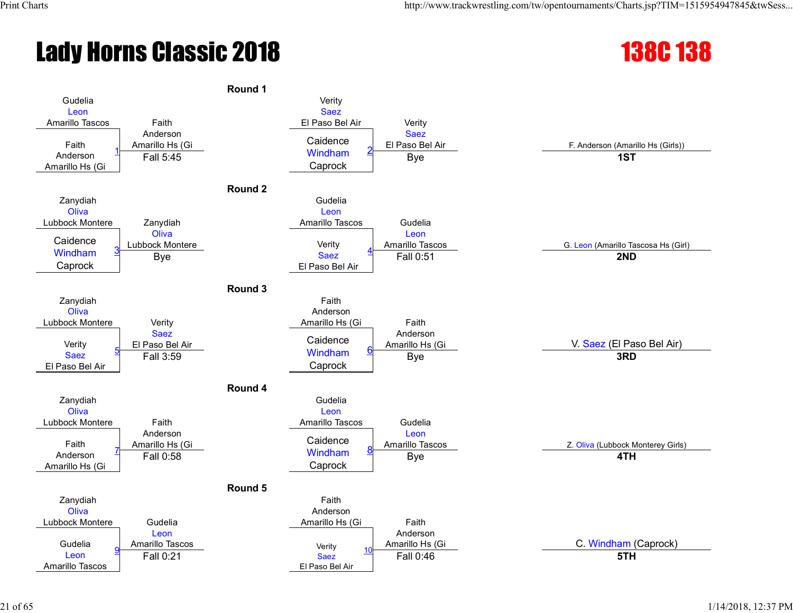# **Lady Horns Classic 2018** 138C 138



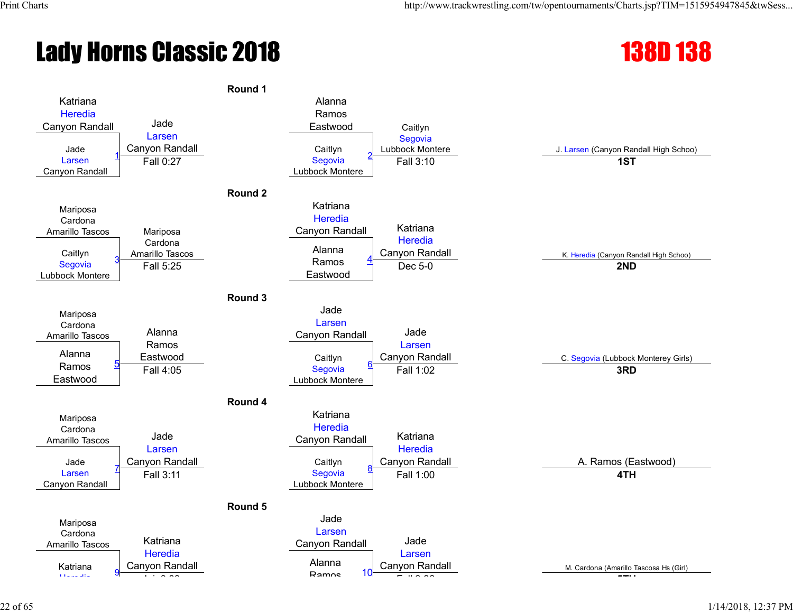# **Lady Horns Classic 2018** 138D 138

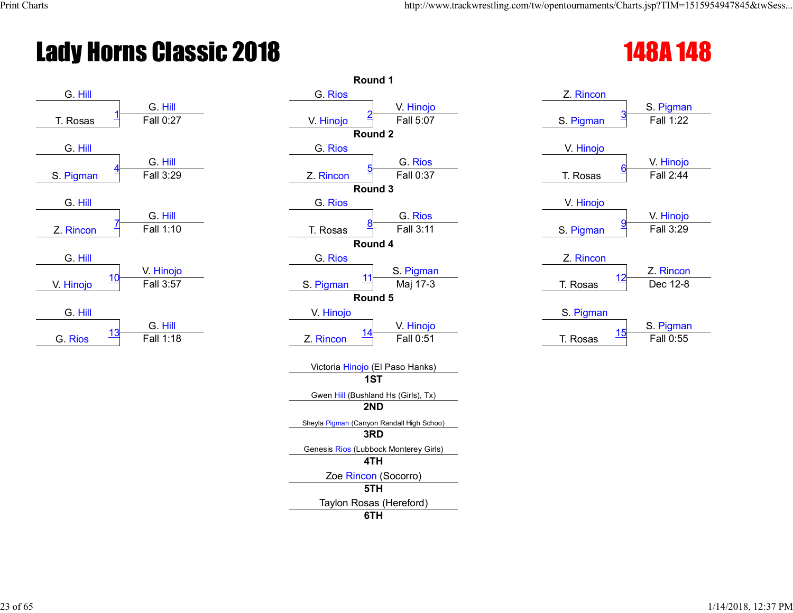# Lady Horns Classic 2018 **148A 148**



|                         |                      |                         | Round 1                                   |                        |                        |
|-------------------------|----------------------|-------------------------|-------------------------------------------|------------------------|------------------------|
| G. Hill                 |                      | G. Rios                 |                                           | Z. Rincon              |                        |
| T. Rosas                | G. Hill<br>Fall 0:27 | V. Hinojo               | V. Hinojo<br>Fall 5:07                    | S. Pigman              | S. Pigmar<br>Fall 1:22 |
|                         |                      |                         | Round 2                                   |                        |                        |
| G. Hill                 |                      | G. Rios                 |                                           | V. Hinojo              |                        |
|                         | G. Hill              |                         | G. Rios                                   |                        | V. Hinojo              |
| S. Pigman               | Fall 3:29            | Z. Rincon               | Fall 0:37                                 | T. Rosas               | Fall 2:44              |
|                         |                      |                         | Round 3                                   |                        |                        |
| G. Hill                 |                      | G. Rios                 |                                           | V. Hinojo              |                        |
|                         | G. Hill<br>Fall 1:10 |                         | G. Rios<br>Fall 3:11                      |                        | V. Hinojo<br>Fall 3:29 |
| Z. Rincon               |                      | T. Rosas                | Round 4                                   | S. Pigman              |                        |
| G. Hill                 |                      | G. Rios                 |                                           | Z. Rincon              |                        |
|                         | V. Hinojo            |                         | S. Pigman                                 |                        | Z. Rincor              |
| <u> 10</u><br>V. Hinojo | Fall 3:57            | S. Pigman               | Maj 17-3                                  | <u> 12</u><br>T. Rosas | Dec 12-8               |
|                         |                      |                         | Round 5                                   |                        |                        |
| G. Hill                 |                      | V. Hinojo               |                                           | S. Pigman              |                        |
|                         | G. Hill              |                         | V. Hinojo                                 |                        | S. Pigmar              |
| <u> 13</u><br>G. Rios   | Fall 1:18            | <u> 14</u><br>Z. Rincon | Fall 0:51                                 | 15<br>T. Rosas         | Fall 0:55              |
|                         |                      |                         | Victoria Hinojo (El Paso Hanks)           |                        |                        |
|                         |                      |                         | 1ST                                       |                        |                        |
|                         |                      |                         | Gwen Hill (Bushland Hs (Girls), Tx)       |                        |                        |
|                         |                      |                         | 2ND                                       |                        |                        |
|                         |                      |                         | Sheyla Pigman (Canyon Randall High Schoo) |                        |                        |
|                         |                      |                         | 3RD                                       |                        |                        |
|                         |                      |                         | Genesis Rios (Lubbock Monterey Girls)     |                        |                        |
|                         |                      |                         | 4TH                                       |                        |                        |
|                         |                      |                         | Zoe Rincon (Socorro)<br>5TH               |                        |                        |
|                         |                      |                         |                                           |                        |                        |
|                         |                      |                         | Taylon Rosas (Hereford)<br>6TH            |                        |                        |
|                         |                      |                         |                                           |                        |                        |

| Z. Rincon             |           |
|-----------------------|-----------|
|                       | S. Pigman |
| <u>3</u><br>S. Pigman | Fall 1:22 |
|                       |           |
| V. Hinojo             |           |
| <u>6</u>              | V. Hinojo |
| T. Rosas              | Fall 2:44 |
|                       |           |
| V. Hinojo             |           |
| <u>g</u>              | V. Hinojo |
| S. Pigman             | Fall 3:29 |
|                       |           |
| Z. Rincon             |           |
| <u> 12</u>            | Z. Rincon |
| T. Rosas              | Dec 12-8  |
|                       |           |
| S. Pigman             |           |
| 4 F                   | S. Pigman |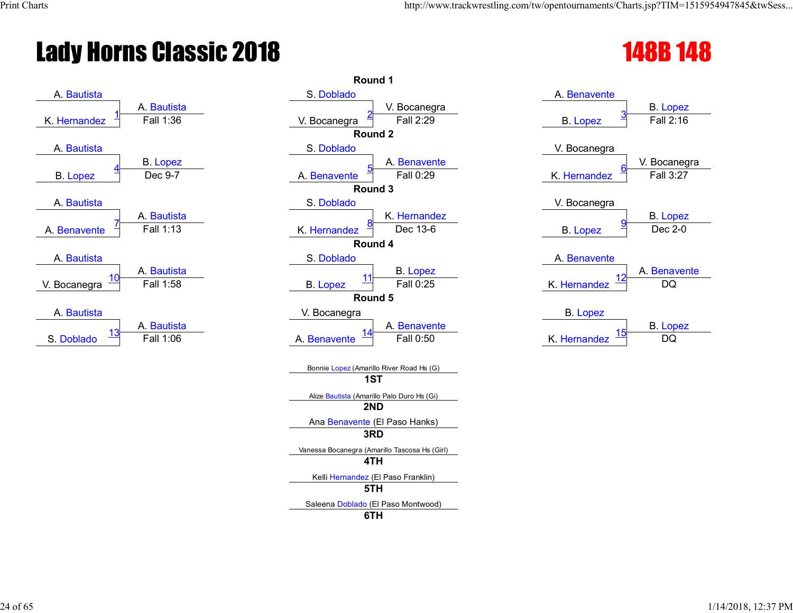# Lady Horns Classic 2018 **148B 148**



|            | Round 1                                              |                               |
|------------|------------------------------------------------------|-------------------------------|
|            | S. Doblado                                           | A. Benavente                  |
| . Bautista | V. Bocanegra                                         | <b>B.</b> Lopez               |
| Fall 1:36  | Fall 2:29<br>V. Bocanegra                            | Fall 2:16<br><b>B.</b> Lopez  |
|            | Round <sub>2</sub>                                   |                               |
|            | S. Doblado                                           | V. Bocanegra                  |
| B. Lopez   | A. Benavente                                         | V. Bocaneg                    |
| Dec 9-7    | Fall 0:29<br>A. Benavente                            | K. Hernandez<br>Fall 3:27     |
|            | Round 3                                              |                               |
|            | S. Doblado                                           | V. Bocanegra                  |
| . Bautista | K. Hernandez                                         | <b>B.</b> Lopez               |
| Fall 1:13  | Dec 13-6<br>K. Hernandez                             | Dec 2-0<br><b>B.</b> Lopez    |
|            | Round 4                                              |                               |
|            | S. Doblado                                           | A. Benavente                  |
| . Bautista | <b>B.</b> Lopez<br>11                                | A. Benaver                    |
| Fall 1:58  | Fall 0:25<br><b>B.</b> Lopez                         | K. Hernandez<br>DQ            |
|            | Round 5                                              |                               |
|            | V. Bocanegra                                         | <b>B.</b> Lopez               |
| . Bautista | A. Benavente                                         | <b>B.</b> Lopez<br><u> 15</u> |
| Fall 1:06  | Fall 0:50<br>A. Benavente                            | K. Hernandez<br>DQ            |
|            |                                                      |                               |
|            | Bonnie Lopez (Amarillo River Road Hs (G)             |                               |
|            | 1ST                                                  |                               |
|            | Alize Bautista (Amarillo Palo Duro Hs (Gi)           |                               |
|            | 2ND                                                  |                               |
|            | Ana Benavente (El Paso Hanks)                        |                               |
|            | 3RD                                                  |                               |
|            | Vanessa Bocanegra (Amarillo Tascosa Hs (Girl)<br>4TH |                               |
|            |                                                      |                               |
|            | Kelli Hernandez (El Paso Franklin)<br>5TH            |                               |
|            |                                                      |                               |
|            | Saleena Doblado (El Paso Montwood)<br>6TH            |                               |
|            |                                                      |                               |



| B. Lopez     |          |
|--------------|----------|
|              | B. Lopez |
| K. Hernandez | nn       |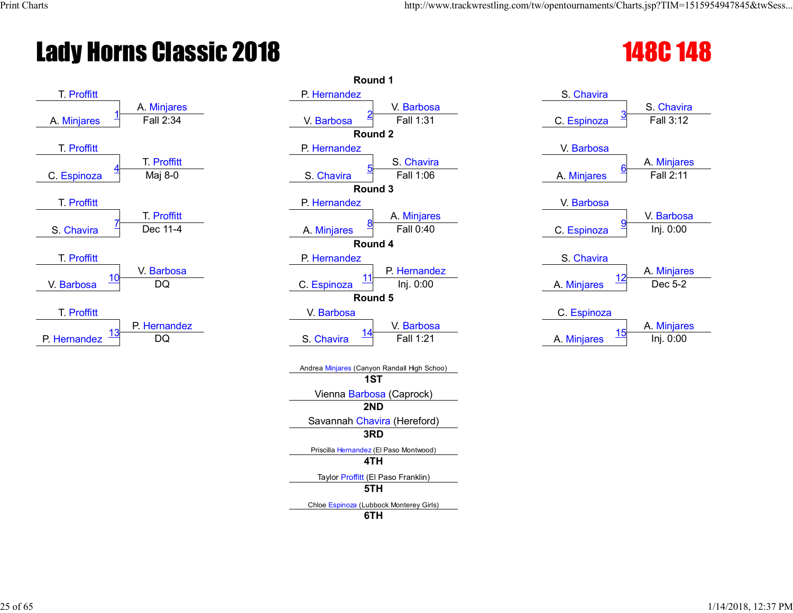# Lady Horns Classic 2018 **148C 148C** 148C



|                  | Round 1                                       |                                            |
|------------------|-----------------------------------------------|--------------------------------------------|
|                  | P. Hernandez                                  | S. Chavira                                 |
| <b>Minjares</b>  | V. Barbosa                                    | S. Chavin                                  |
| Fall 2:34        | Fall 1:31<br>V. Barbosa                       | Fall 3:12<br>C. Espinoza                   |
|                  | Round <sub>2</sub>                            |                                            |
|                  | P. Hernandez                                  | V. Barbosa                                 |
| T. Proffitt      | S. Chavira                                    | A. Minjare                                 |
| Maj 8-0          | Fall 1:06<br>S. Chavira                       | Fall 2:11<br>A. Minjares                   |
|                  | Round 3                                       |                                            |
|                  | P. Hernandez                                  | V. Barbosa                                 |
| T. Proffitt      | A. Minjares                                   | V. Barbos                                  |
| Dec 11-4         | Fall 0:40<br>A. Minjares                      | Inj. 0:00<br>C. Espinoza                   |
|                  | Round 4                                       |                                            |
| / Barbosa        | P. Hernandez<br>P. Hernandez                  | S. Chavira                                 |
| DQ               | 11<br>C. Espinoza<br>Inj. 0:00                | A. Minjare<br>12<br>Dec 5-2<br>A. Minjares |
|                  | Round 5                                       |                                            |
|                  | V. Barbosa                                    | C. Espinoza                                |
| <b>Hernandez</b> | V. Barbosa                                    | A. Minjare                                 |
| <b>DQ</b>        | Fall 1:21<br>S. Chavira                       | 15<br>Inj. 0:00<br>A. Minjares             |
|                  |                                               |                                            |
|                  | Andrea Minjares (Canyon Randall High Schoo)   |                                            |
|                  | 1ST                                           |                                            |
|                  | Vienna Barbosa (Caprock)                      |                                            |
|                  | 2ND                                           |                                            |
|                  | Savannah Chavira (Hereford)                   |                                            |
|                  | 3RD                                           |                                            |
|                  | Priscilla Hernandez (El Paso Montwood)<br>4TH |                                            |
|                  | Taylor Proffitt (El Paso Franklin)            |                                            |
|                  | 5TH                                           |                                            |
|                  | Chloe Espinoza (Lubbock Monterey Girls)       |                                            |
|                  | 6TH                                           |                                            |

| S. Chavira                 |             |
|----------------------------|-------------|
|                            | S. Chavira  |
| <u>3</u><br>C. Espinoza    | Fall 3:12   |
|                            |             |
| V. Barbosa                 |             |
|                            | A. Minjares |
| <u>6</u><br>A. Minjares    | Fall 2:11   |
|                            |             |
| V. Barbosa                 |             |
|                            | V. Barbosa  |
| <u>ទ</u><br>C. Espinoza    | Inj. 0:00   |
|                            |             |
| S. Chavira                 |             |
|                            | A. Minjares |
| 12<br>A. Minjares          | Dec 5-2     |
|                            |             |
| C. Espinoza                |             |
|                            | A. Minjares |
| 15<br><b>Miniares</b><br>Δ | Ini N·NN    |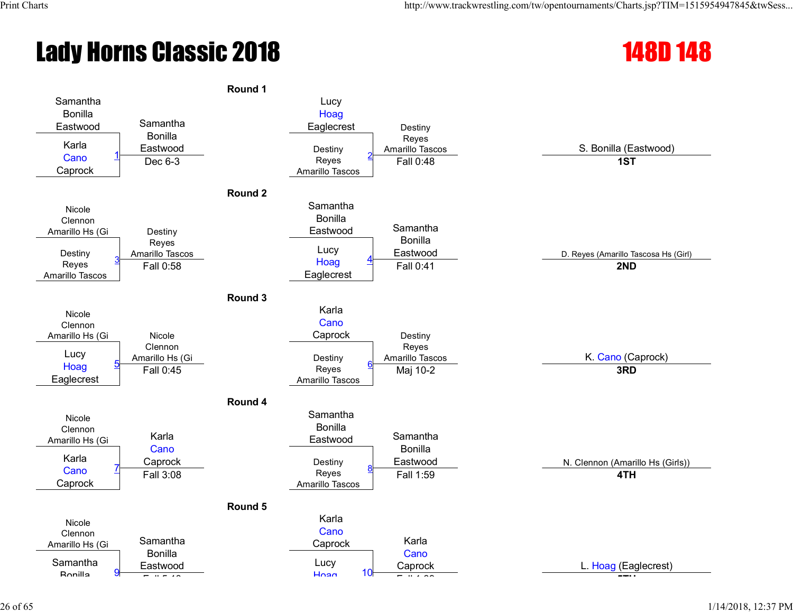# Lady Horns Classic 2018 148D 148



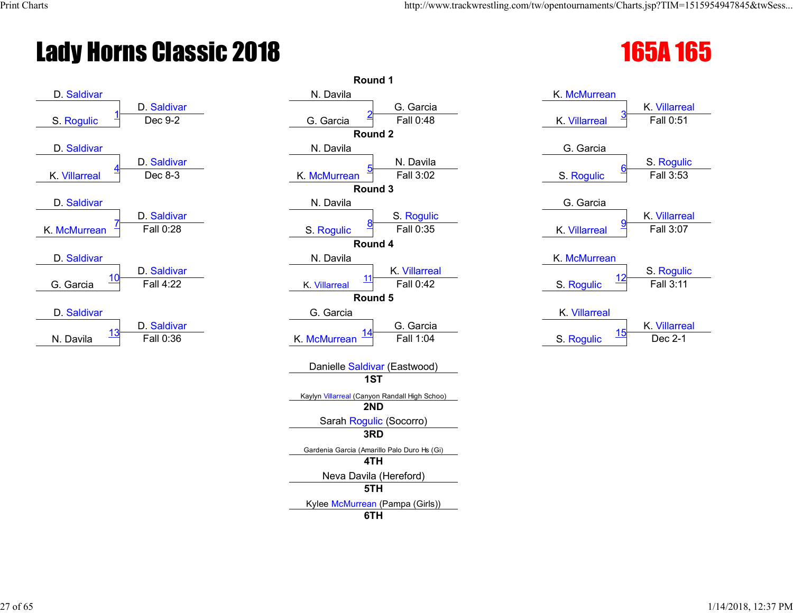# Lady Horns Classic 2018 165 and 165 and 165 and 165 and 165



|            | Round 1                                       |                                    |
|------------|-----------------------------------------------|------------------------------------|
|            | N. Davila                                     | K. McMurrean                       |
| Saldivar   | G. Garcia                                     | K. Villarre                        |
| Dec 9-2    | Fall 0:48<br>G. Garcia                        | Fall 0:51<br>K. Villarreal         |
|            | Round 2                                       |                                    |
|            | N. Davila                                     | G. Garcia                          |
| Saldivar   | N. Davila                                     | S. Roguli                          |
| Dec 8-3    | Fall 3:02<br>K. McMurrean                     | Fall 3:53<br>S. Rogulic            |
|            | Round 3                                       |                                    |
|            | N. Davila                                     | G. Garcia                          |
| Saldivar   | S. Rogulic                                    | K. Villarrea                       |
| Fall 0:28  | Fall 0:35<br>S. Rogulic                       | Fall 3:07<br>K. Villarreal         |
|            | Round 4                                       |                                    |
|            | N. Davila                                     | K. McMurrean                       |
| . Saldivar | K. Villarreal<br>11                           | S. Roguli<br>12                    |
| Fall 4:22  | Fall 0:42<br>K. Villarreal<br>Round 5         | Fall 3:11<br>S. Rogulic            |
|            |                                               |                                    |
| . Saldivar | G. Garcia<br>G. Garcia                        | K. Villarreal<br>K. Villarrea      |
| Fall 0:36  | <u> 14</u><br>Fall 1:04<br>K. McMurrean       | <u>15</u><br>Dec 2-1<br>S. Rogulic |
|            |                                               |                                    |
|            | Danielle Saldivar (Eastwood)                  |                                    |
|            | 1ST                                           |                                    |
|            | Kaylyn Villarreal (Canyon Randall High Schoo) |                                    |
|            | 2ND                                           |                                    |
|            | Sarah Rogulic (Socorro)                       |                                    |
|            | 3RD                                           |                                    |
|            | Gardenia Garcia (Amarillo Palo Duro Hs (Gi)   |                                    |
|            | 4TH                                           |                                    |
|            | Neva Davila (Hereford)                        |                                    |
|            | 5TH                                           |                                    |
|            | Kylee McMurrean (Pampa (Girls))               |                                    |
|            | 6TH                                           |                                    |

| K. McMurrean              |                  |
|---------------------------|------------------|
|                           | K. Villarreal    |
| <u>З</u><br>K. Villarreal | Fall 0:51        |
|                           |                  |
| G. Garcia                 |                  |
|                           | S. Rogulic       |
| <u>6</u><br>S. Rogulic    | Fall 3:53        |
|                           |                  |
| G. Garcia                 |                  |
|                           | K. Villarreal    |
| 9<br>K. Villarreal        | Fall 3:07        |
|                           |                  |
| K. McMurrean              |                  |
|                           | S. Rogulic       |
| S. Rogulic                | <b>Fall 3:11</b> |
|                           |                  |
| K. Villarreal             |                  |
| 4 E                       | K. Villarreal    |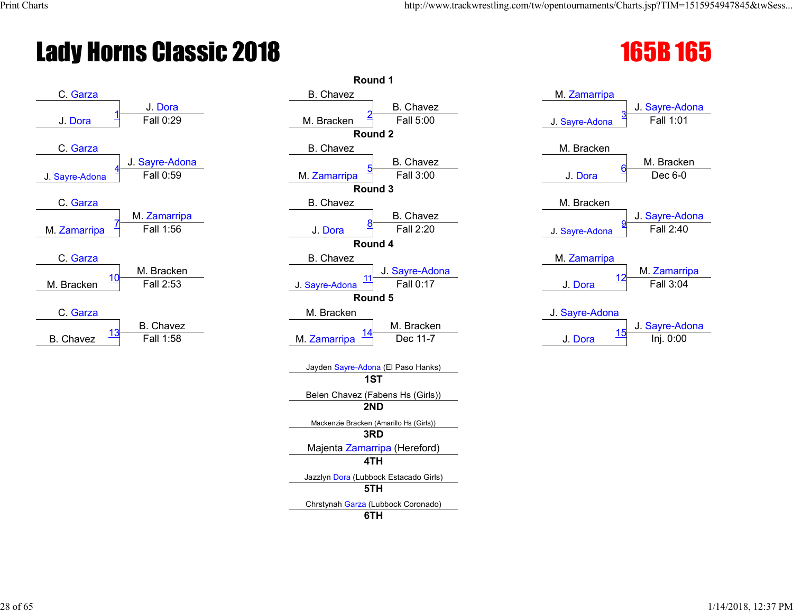# Lady Horns Classic 2018 1658 1658 1658



|                         | <b>Round 1</b>                          |                               |
|-------------------------|-----------------------------------------|-------------------------------|
|                         | <b>B.</b> Chavez                        | M. Zamarripa                  |
| J. Dora                 | <b>B.</b> Chavez                        | J. Sayre-Ad                   |
| Fall 0:29               | Fall 5:00<br>M. Bracken                 | Fall 1:01<br>J. Sayre-Adona   |
|                         | Round <sub>2</sub>                      |                               |
|                         | <b>B.</b> Chavez                        | M. Bracken                    |
| ayre-Adona              | <b>B.</b> Chavez                        | M. Bracke                     |
| Fall 0:59               | Fall 3:00<br>M. Zamarripa               | Dec 6-0<br>J. Dora            |
|                         | Round 3                                 |                               |
|                         | B. Chavez                               | M. Bracken                    |
| Zamarripa               | <b>B.</b> Chavez                        | J. Sayre-Ad                   |
| Fall 1:56               | Fall 2:20<br>J. Dora                    | Fall 2:40<br>J. Sayre-Adona   |
|                         | Round 4                                 |                               |
|                         | <b>B.</b> Chavez                        | M. Zamarripa                  |
| 1. Bracken<br>Fall 2:53 | J. Sayre-Adona<br>11<br>Fall 0:17       | M. Zamarri<br>12<br>Fall 3:04 |
|                         | J. Sayre-Adona<br>Round 5               | J. Dora                       |
|                         |                                         |                               |
| 3. Chavez               | M. Bracken<br>M. Bracken                | J. Sayre-Adona<br>J. Sayre-Ad |
| Fall 1:58               | Dec 11-7<br>M. Zamarripa                | 15<br>Inj. 0:00<br>J. Dora    |
|                         |                                         |                               |
|                         | Jayden Sayre-Adona (El Paso Hanks)      |                               |
|                         | 1ST                                     |                               |
|                         | Belen Chavez (Fabens Hs (Girls))        |                               |
|                         | 2ND                                     |                               |
|                         | Mackenzie Bracken (Amarillo Hs (Girls)) |                               |
|                         | 3RD                                     |                               |
|                         | Majenta Zamarripa (Hereford)            |                               |
|                         | 4TH                                     |                               |
|                         | Jazzlyn Dora (Lubbock Estacado Girls)   |                               |
|                         | 5TH                                     |                               |
|                         | Chrstynah Garza (Lubbock Coronado)      |                               |
|                         | 6TH                                     |                               |

| M. Zamarripa        |                             |
|---------------------|-----------------------------|
| 3<br>J. Sayre-Adona | J. Sayre-Adona<br>Fall 1:01 |
|                     |                             |
| M. Bracken          |                             |
| <u>6</u>            | M. Bracken                  |
| J. Dora             | Dec 6-0                     |
| M. Bracken          |                             |
|                     | J. Sayre-Adona              |
| 9<br>J. Sayre-Adona | Fall 2:40                   |
| M. Zamarripa        |                             |
| 12                  | M. Zamarripa                |
| J. Dora             | Fall 3:04                   |
| J. Sayre-Adona      |                             |
| 1 <sub>E</sub>      | J. Sayre-Adona              |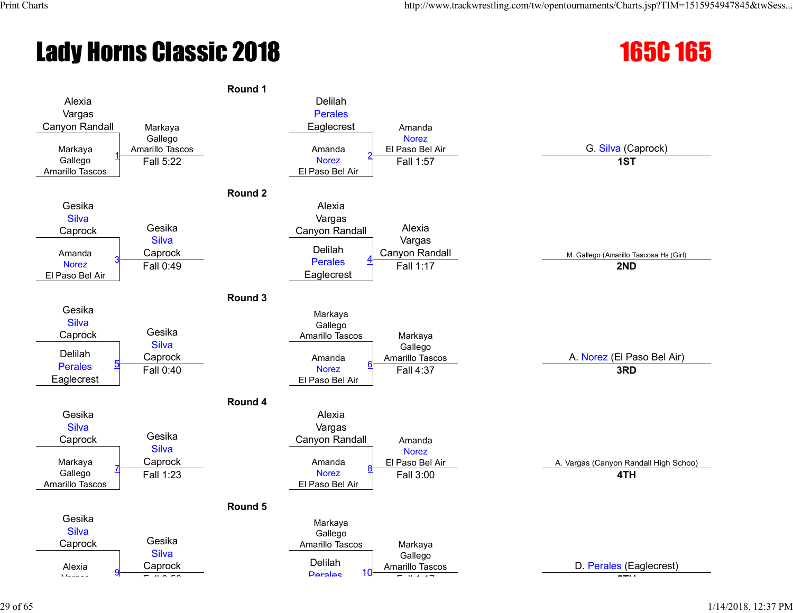# Lady Horns Classic 2018 165C 165

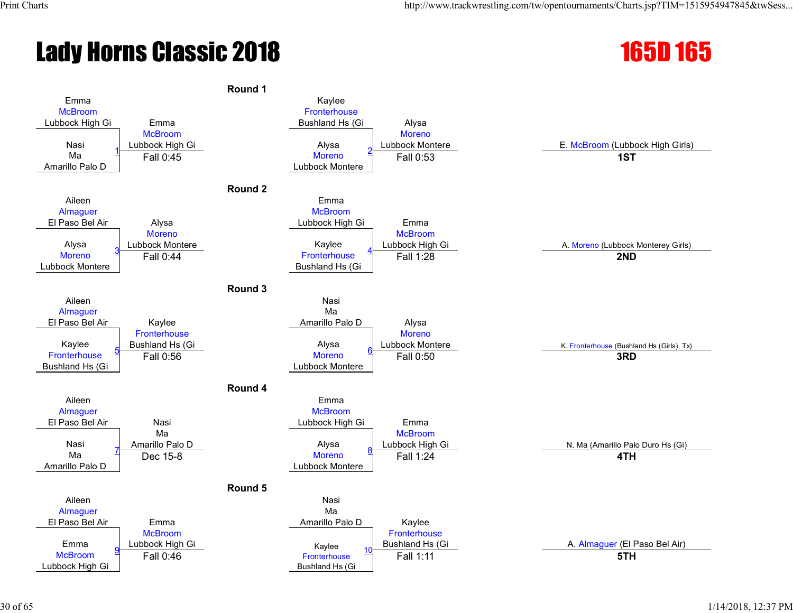# **Lady Horns Classic 2018** 165D 165

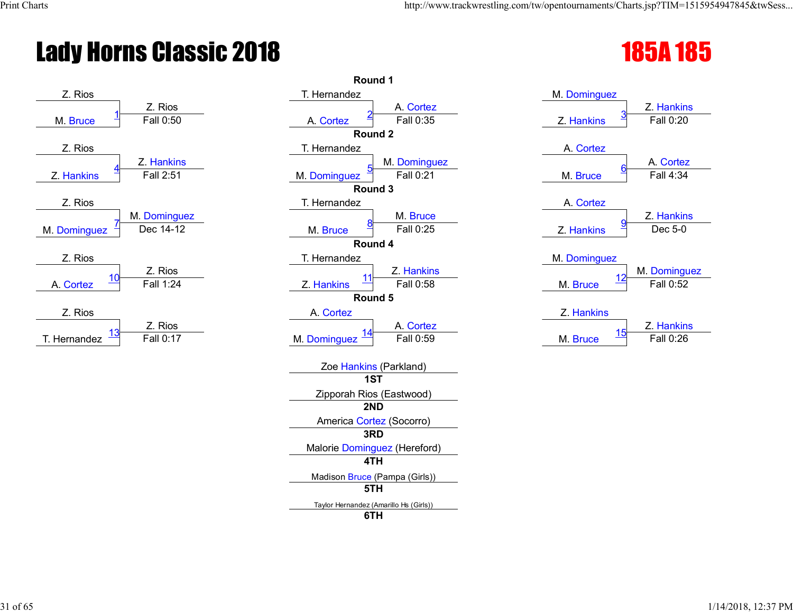# Lady Horns Classic 2018 185 and 185 and 185 and 185 and 185 and 185 and 185 and 185 and 185 and 185 and 185 and 185 and 185 and 185 and 185 and 187 and 187 and 187 and 187 and 187 and 187 and 187 and 187 and 187 and 187 an



|            | Round 1                                |                         |
|------------|----------------------------------------|-------------------------|
|            | T. Hernandez                           | M. Dominguez            |
| Z. Rios    | A. Cortez                              | Z. Hankin               |
| Fall 0:50  | Fall 0:35<br>A. Cortez                 | Fall 0:20<br>Z. Hankins |
|            | Round <sub>2</sub>                     |                         |
|            | T. Hernandez                           | A. Cortez               |
| Z. Hankins | M. Dominguez                           | A. Cortez               |
| Fall 2:51  | M. Dominguez<br>Fall 0:21              | Fall 4:34<br>M. Bruce   |
|            | Round 3                                |                         |
|            | T. Hernandez                           | A. Cortez               |
| Dominguez  | M. Bruce                               | Z. Hankin               |
| Dec 14-12  | Fall 0:25<br>M. Bruce                  | Dec 5-0<br>Z. Hankins   |
|            | Round 4                                |                         |
|            | T. Hernandez                           | M. Dominguez            |
| Z. Rios    | Z. Hankins<br>11                       | M. Domingu<br>12        |
| Fall 1:24  | Fall 0:58<br>Z. Hankins                | Fall 0:52<br>M. Bruce   |
|            | Round 5                                |                         |
|            | A. Cortez                              | Z. Hankins              |
| Z. Rios    | A. Cortez                              | Z. Hankin<br><u> 15</u> |
| Fall 0:17  | Fall 0:59<br>M. Dominguez              | Fall 0:26<br>M. Bruce   |
|            |                                        |                         |
|            | Zoe Hankins (Parkland)<br>1ST          |                         |
|            | Zipporah Rios (Eastwood)               |                         |
|            | 2ND                                    |                         |
|            | America Cortez (Socorro)               |                         |
|            | 3RD                                    |                         |
|            | Malorie Dominguez (Hereford)           |                         |
|            | 4TH                                    |                         |
|            | Madison Bruce (Pampa (Girls))          |                         |
|            | 5TH                                    |                         |
|            | Taylor Hernandez (Amarillo Hs (Girls)) |                         |
|            | 6TH                                    |                         |

| M. Dominguez           |              |
|------------------------|--------------|
|                        | Z. Hankins   |
| <u>З</u><br>Z. Hankins | Fall 0:20    |
|                        |              |
| A. Cortez              |              |
|                        | A. Cortez    |
| <u>6</u><br>M. Bruce   | Fall 4:34    |
|                        |              |
| A. Cortez              |              |
|                        | Z. Hankins   |
| <u>g</u><br>Z. Hankins | Dec 5-0      |
|                        |              |
| M. Dominguez           |              |
| 12                     | M. Dominguez |
| M. Bruce               | Fall 0:52    |
|                        |              |
| Z. Hankins             |              |
| 4 E                    | Z. Hankins   |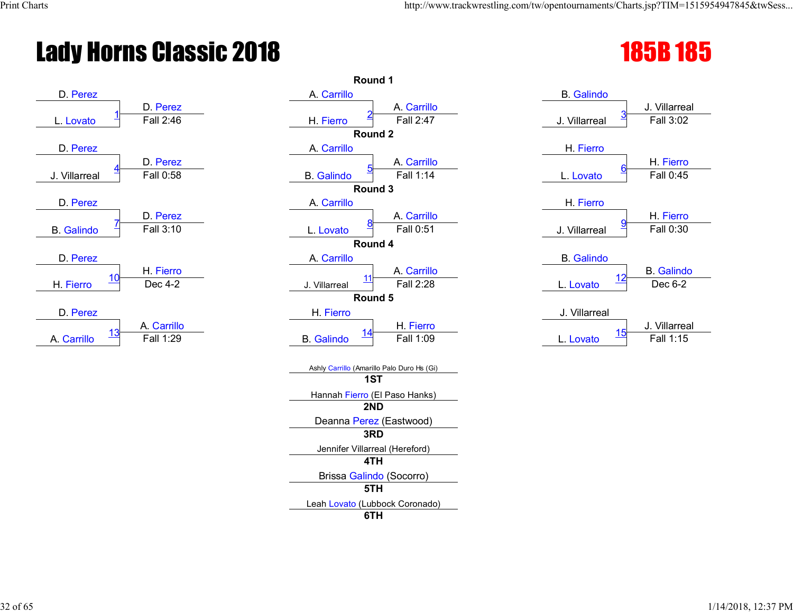# Lady Horns Classic 2018 1858 1858 1858



|                                        | Round 1                                       |                                          |
|----------------------------------------|-----------------------------------------------|------------------------------------------|
| D. Perez<br>D. Perez                   | A. Carrillo<br>A. Carrillo                    | <b>B.</b> Galindo<br>J. Villarrea        |
| Fall 2:46<br>L. Lovato                 | Fall 2:47<br>H. Fierro                        | Fall 3:02<br>J. Villarreal               |
|                                        | Round 2                                       |                                          |
| D. Perez                               | A. Carrillo                                   | H. Fierro                                |
| D. Perez<br>Fall 0:58<br>J. Villarreal | A. Carrillo<br>Fall 1:14<br><b>B.</b> Galindo | H. Fierro<br>Fall 0:45<br>L. Lovato      |
|                                        | Round 3                                       |                                          |
| D. Perez                               | A. Carrillo                                   | H. Fierro                                |
| D. Perez                               | A. Carrillo                                   | H. Fierro                                |
| Fall 3:10<br><b>B.</b> Galindo         | Fall 0:51<br>L. Lovato                        | Fall 0:30<br>J. Villarreal               |
|                                        | Round 4                                       |                                          |
| D. Perez                               | A. Carrillo                                   | <b>B.</b> Galindo                        |
| H. Fierro<br>Dec 4-2<br>H. Fierro      | A. Carrillo<br>Fall 2:28<br>J. Villarreal     | <b>B.</b> Galind<br>Dec 6-2<br>L. Lovato |
|                                        | Round 5                                       |                                          |
| D. Perez                               | H. Fierro                                     | J. Villarreal                            |
| A. Carrillo<br>13                      | H. Fierro                                     | J. Villarrea                             |
| Fall 1:29<br>A. Carrillo               | Fall 1:09<br><b>B.</b> Galindo                | Fall 1:15<br>L. Lovato                   |
|                                        | Ashly Carrillo (Amarillo Palo Duro Hs (Gi)    |                                          |
|                                        | 1ST                                           |                                          |
|                                        | Hannah Fierro (El Paso Hanks)<br>2ND          |                                          |
|                                        | Deanna Perez (Eastwood)                       |                                          |
|                                        | 3RD                                           |                                          |
|                                        | Jennifer Villarreal (Hereford)                |                                          |
|                                        | 4TH                                           |                                          |
|                                        | Brissa Galindo (Socorro)<br>5TH               |                                          |
|                                        | Leah Lovato (Lubbock Coronado)                |                                          |
|                                        | 6TH                                           |                                          |

| <b>B.</b> Galindo |                       |
|-------------------|-----------------------|
|                   | J. Villarreal         |
| J. Villarreal     | <u>3</u><br>Fall 3:02 |
|                   |                       |
| H. Fierro         |                       |
|                   | H. Fierro             |
| L. Lovato         | 6<br>Fall 0:45        |
|                   |                       |
| H. Fierro         |                       |
|                   | H. Fierro             |
| J. Villarreal     | <u>9</u><br>Fall 0:30 |
|                   |                       |
| <b>B.</b> Galindo |                       |
|                   | <b>B.</b> Galindo     |
| L. Lovato         | 12<br>Dec 6-2         |
|                   |                       |
| J. Villarreal     |                       |
|                   | J. Villarreal         |
| 15                |                       |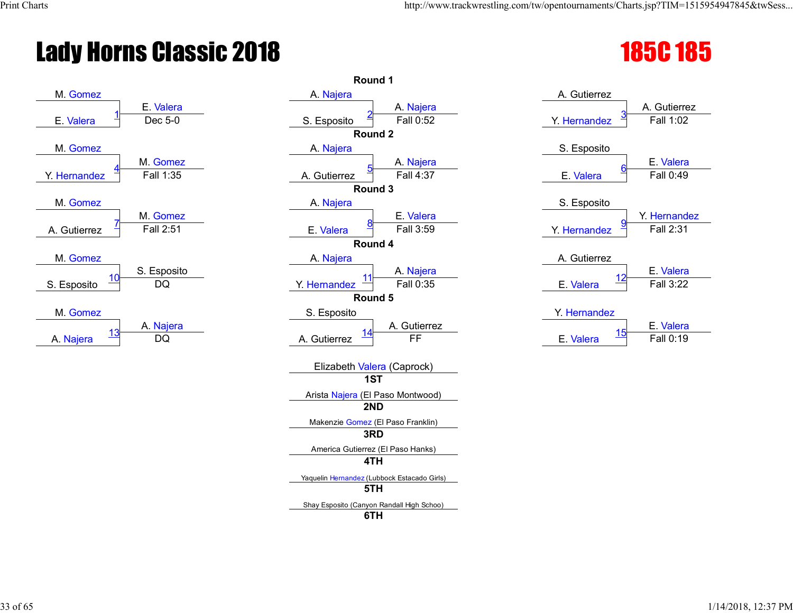# Lady Horns Classic 2018 185C 185



|                                  | Round 1                                     |                                     |
|----------------------------------|---------------------------------------------|-------------------------------------|
|                                  | A. Najera                                   | A. Gutierrez                        |
| E. Valera                        | A. Najera                                   | A. Gutierre                         |
| Dec 5-0                          | Fall 0:52<br>S. Esposito                    | Fall 1:02<br>Y. Hernandez           |
|                                  | Round 2                                     |                                     |
|                                  | A. Najera                                   | S. Esposito                         |
| 1. Gomez                         | A. Najera                                   | E. Valera                           |
| Fall 1:35                        | Fall 4:37<br>A. Gutierrez                   | Fall 0:49<br>E. Valera              |
|                                  | Round 3                                     |                                     |
|                                  | A. Najera                                   | S. Esposito                         |
| 1. Gomez                         | E. Valera                                   | Y. Hernand                          |
| $\overline{\mathsf{F}}$ all 2:51 | Fall 3:59<br>E. Valera                      | Fall 2:31<br>Y. Hernandez           |
|                                  | Round 4                                     |                                     |
|                                  | A. Najera                                   | A. Gutierrez                        |
| Esposito                         | A. Najera                                   | E. Valera                           |
| DQ                               | Fall 0:35<br>Y. Hernandez                   | Fall 3:22<br>E. Valera              |
|                                  | Round 5                                     |                                     |
|                                  | S. Esposito                                 | Y. Hernandez                        |
| A. Najera                        | A. Gutierrez                                | E. Valera                           |
| DQ                               | FF<br>A. Gutierrez                          | <u>15</u><br>Fall 0:19<br>E. Valera |
|                                  |                                             |                                     |
|                                  | Elizabeth Valera (Caprock)                  |                                     |
|                                  | 1ST                                         |                                     |
|                                  | Arista Najera (El Paso Montwood)            |                                     |
|                                  | 2ND                                         |                                     |
|                                  | Makenzie Gomez (El Paso Franklin)           |                                     |
|                                  | 3RD                                         |                                     |
|                                  | America Gutierrez (El Paso Hanks)           |                                     |
|                                  | 4TH                                         |                                     |
|                                  | Yaquelin Hernandez (Lubbock Estacado Girls) |                                     |
|                                  | 5TH                                         |                                     |
|                                  | Shay Esposito (Canyon Randall High Schoo)   |                                     |
|                                  | 6TH                                         |                                     |
|                                  |                                             |                                     |

|                   | A. Gutierrez |
|-------------------|--------------|
| Y. Hernandez      | Fall 1:02    |
|                   |              |
| S. Esposito       |              |
|                   | E. Valera    |
| 6<br>E. Valera    | Fall 0:49    |
|                   |              |
| S. Esposito       |              |
|                   | Y. Hernandez |
| 9<br>Y. Hernandez | Fall 2:31    |
|                   |              |
| A. Gutierrez      |              |
|                   | E. Valera    |
| E. Valera         | Fall 3:22    |
|                   |              |
| Y. Hernandez      |              |
| 15                | E. Valera    |
| E. Valera         | Fall 0:19    |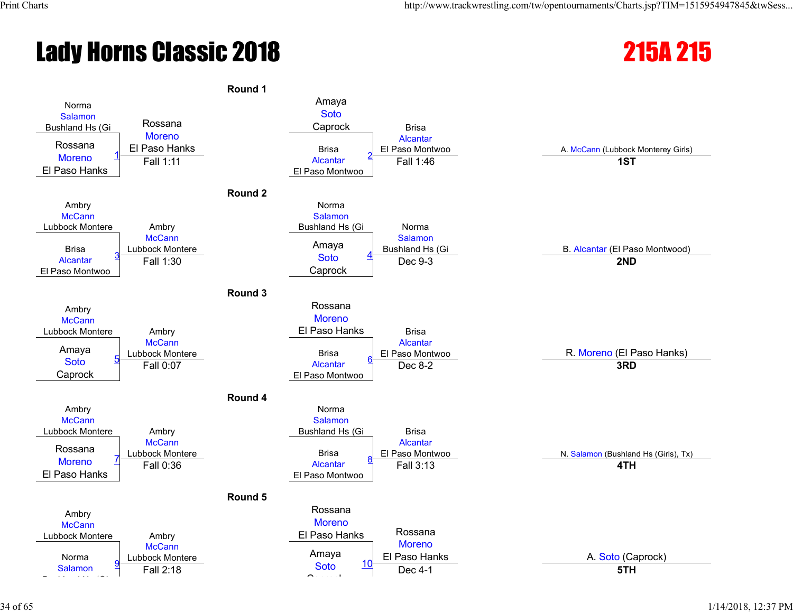# Lady Horns Classic 2018 2008 215A 215

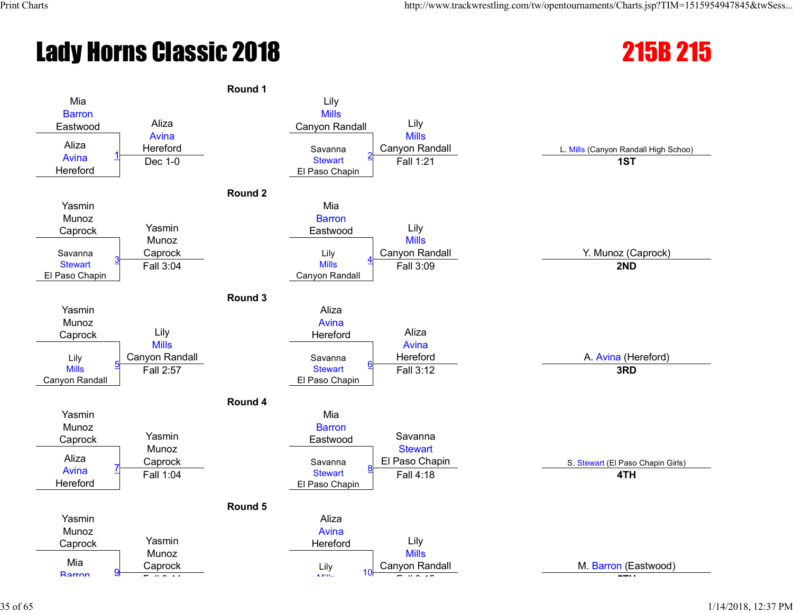# Lady Horns Classic 2018 215B 215



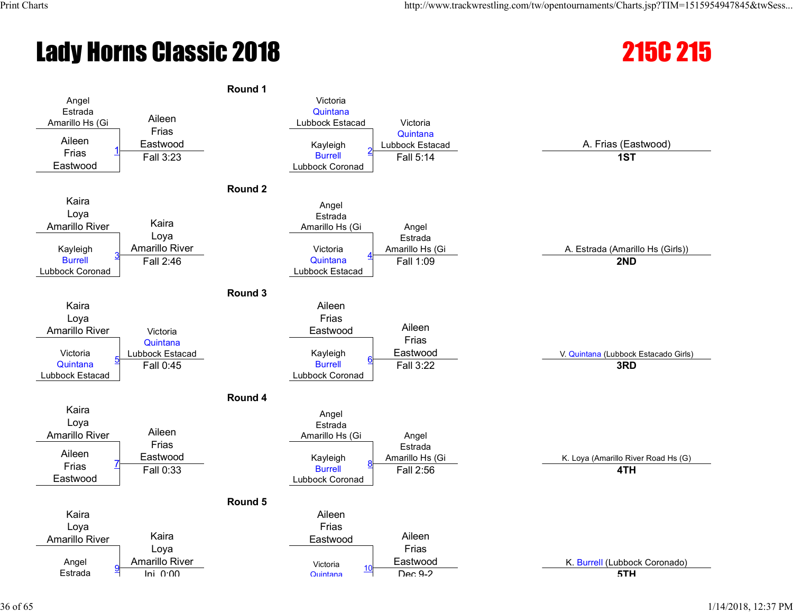# **Lady Horns Classic 2018** 215C 2018

#### **Round 1** Angel Estrada Amarillo Hs (Gi Aileen Frias Eastwood Victoria **Quintana** Lubbock Estacad Victoria Quintana Aileen Lubbock Estacad A. Frias (Eastwood) Frias Eastwood 1 Kayleigh Burrell Lubbock Coronad 2 Fall 3:23 Fall 5:14 **1ST Round 2** Kaira Loya Amarillo River Kaira Loya Amarillo River Angel Estrada Amarillo Hs (Gi Angel Estrada Kayleigh **Amarillo River A. Estrada (Amarillo River A. Estrada (Amarillo Hs (Girls)**) Amarillo Hs (Girls) Burrell Lubbock Coronad 3 Victoria **Quintana** Lubbock Estacad 4 Fall 2:46 Fall 1:09 **2ND Round 3** Kaira Loya Amarillo River **Victoria Quintana** Lubbock Estacad Aileen Frias Eastwood Aileen Frias Victoria Lubbock Estacad V. Quintana (Lubbock Estacado Girls) (V. Quintana (Lubbock Estacado Girls) **Quintana** Lubbock Estacad 5 Kayleigh **Burrell** Lubbock Coronad 6 Fall 0:45 Fall 3:22 **3RD Round 4** Kaira Loya Amarillo River Aileen Frias Eastwood Angel Estrada Amarillo Hs (Gi Angel Estrada Aileen **Subadia Amarillo Hs (Gi** K. Loya (Amarillo River Road Hs (G) Frias Eastwood 7 Kayleigh **Burrell** Lubbock Coronad 8 Fall 0:33 Fall 2:56 **4TH Round 5** Kaira Loya Amarillo River Kaira Loya Amarillo River Aileen Frias Eastwood Aileen Frias Angel Eastwood K. Burrell (Lubbock Coronado) **Estrada** Victoria Quintana <sup>10</sup> Inj. 0:00 Dec 9-2 **5TH**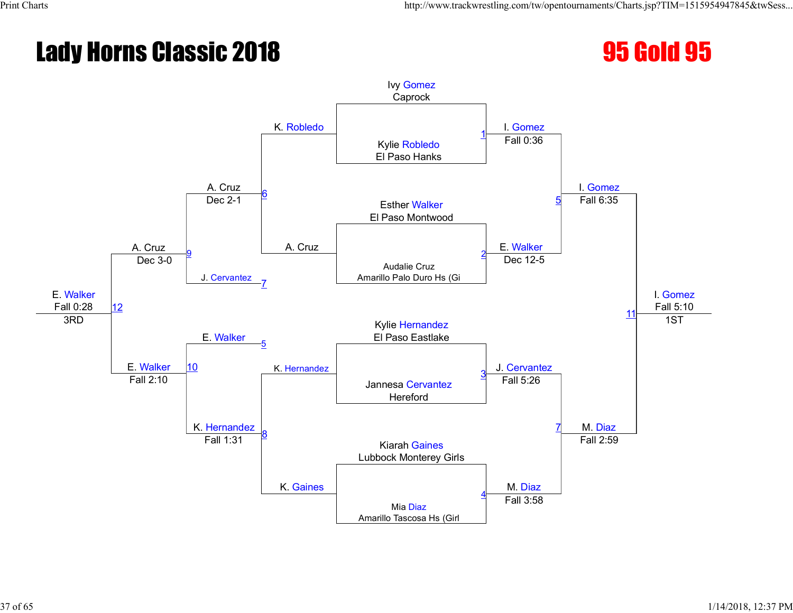#### Lady Horns Classic 2018 **95 Gold 95**

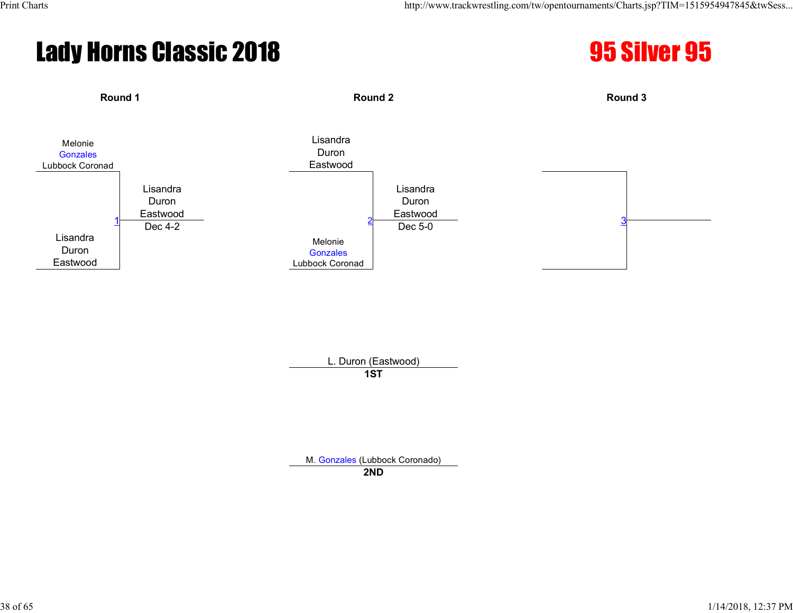#### Lady Horns Classic 2018 **95 Silver 95**





L. Duron (Eastwood) **1ST**

M. Gonzales (Lubbock Coronado)

**2ND**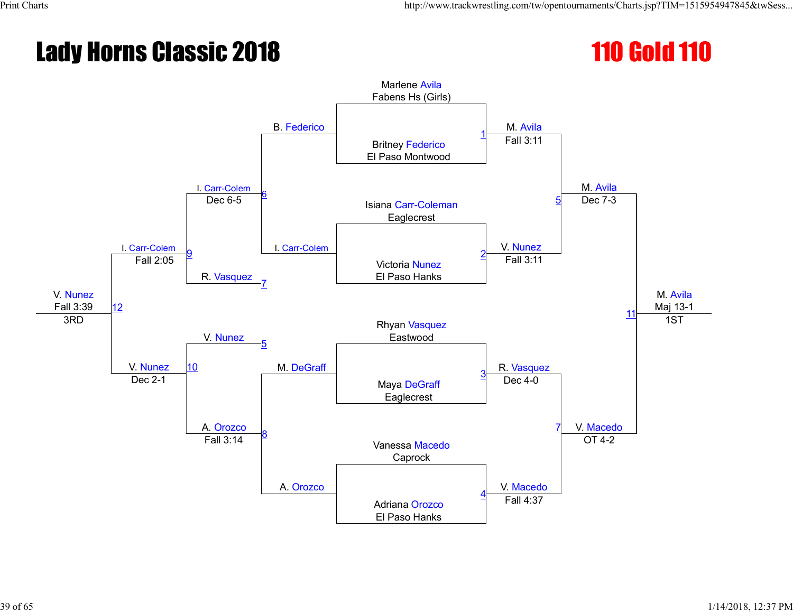#### **Lady Horns Classic 2018** 110 Gold 110

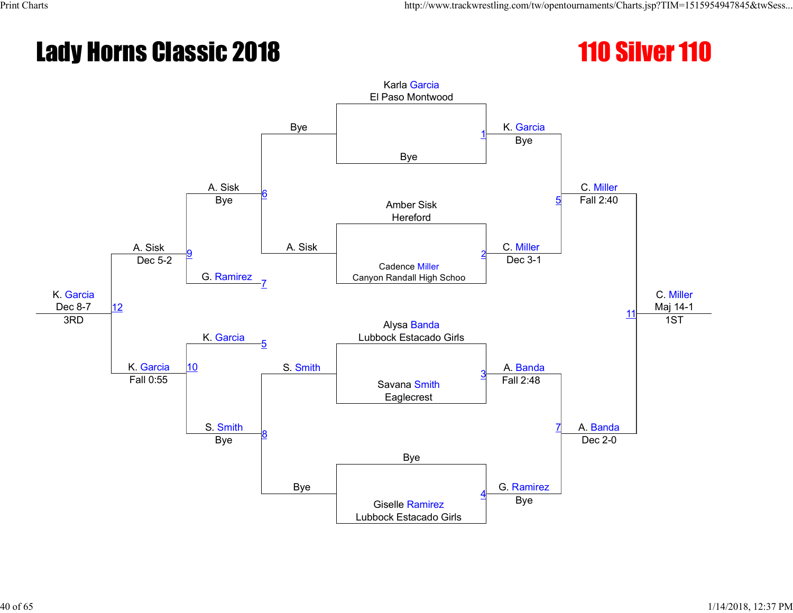#### **Lady Horns Classic 2018** 110 Silver 110

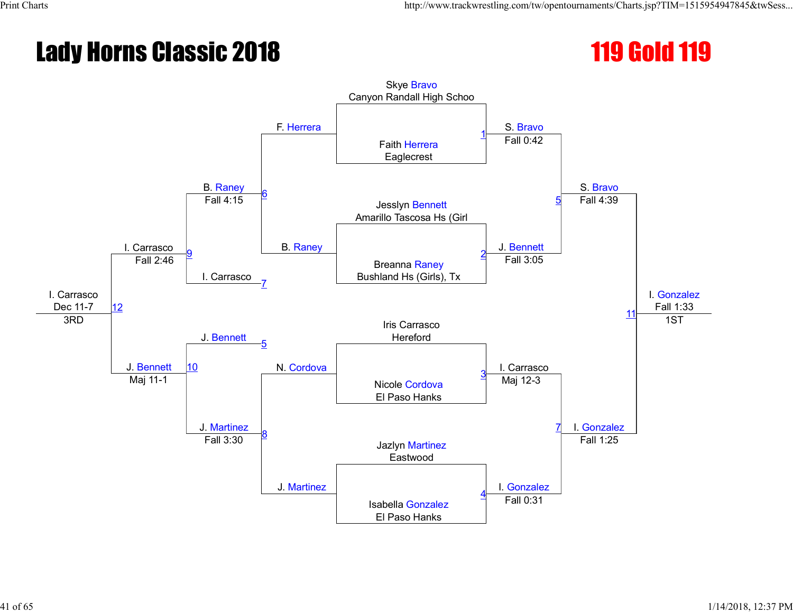#### **Lady Horns Classic 2018** 119 and 119 Gold 119

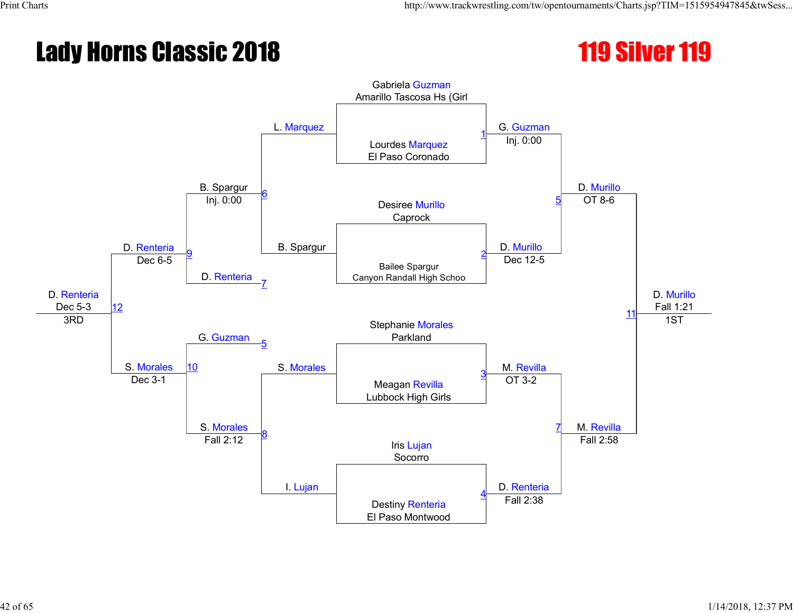#### **Lady Horns Classic 2018** 119 Silver 119

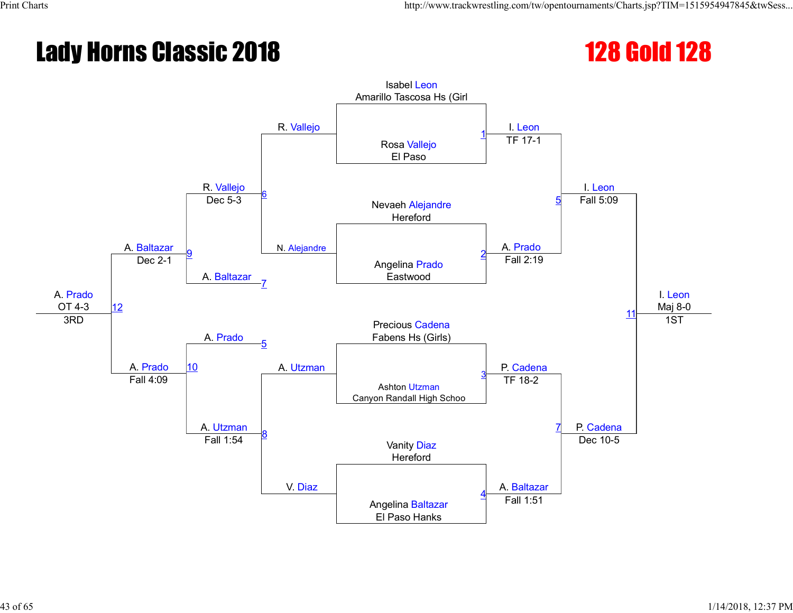#### **Lady Horns Classic 2018** 128 Gold 128

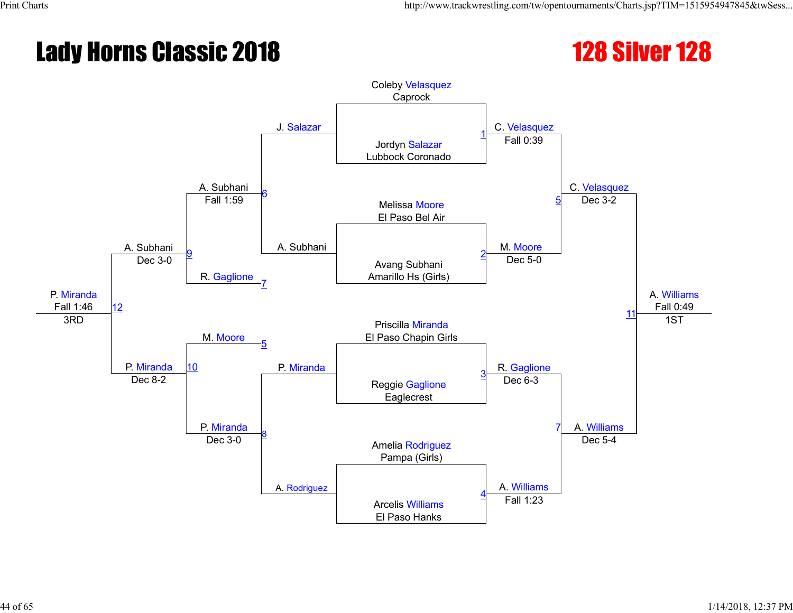#### **Lady Horns Classic 2018** 128 Silver 128



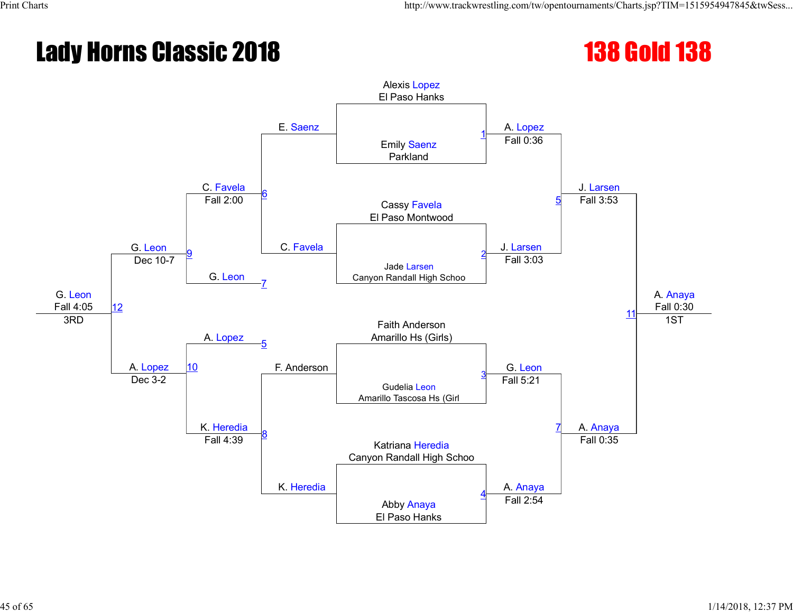#### **Lady Horns Classic 2018** 138 Gold 138

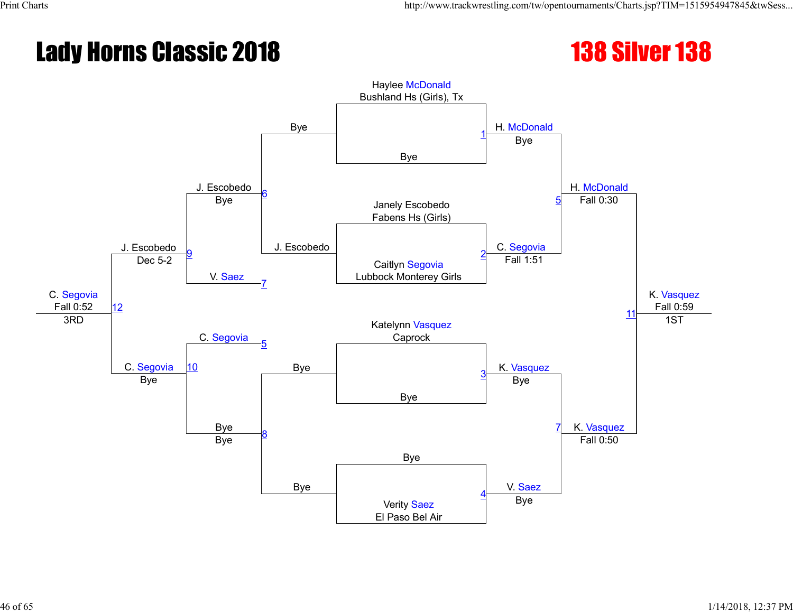#### **Lady Horns Classic 2018** 138 Silver 138



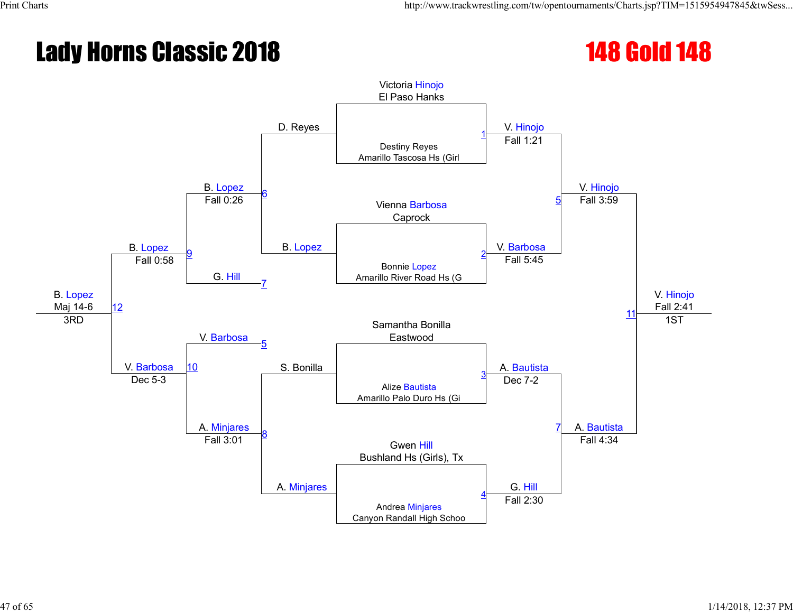#### **Lady Horns Classic 2018** 148 Gold 148

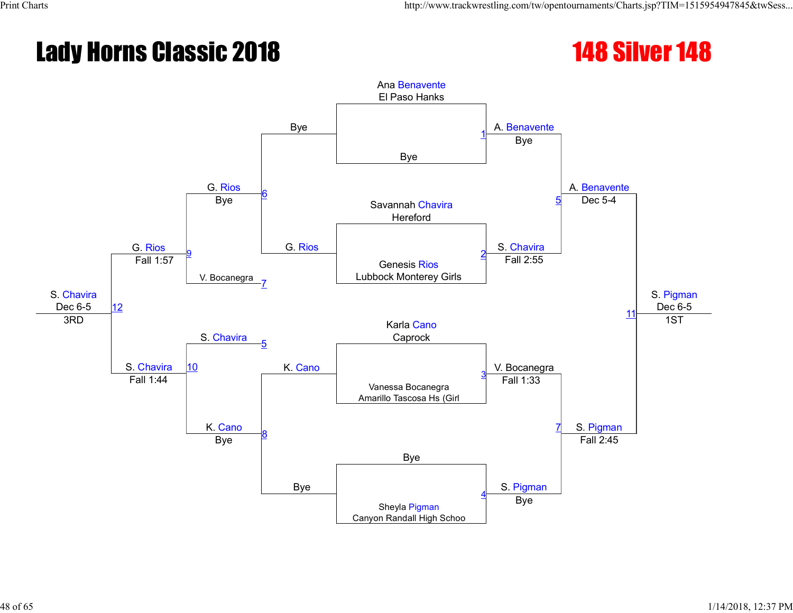#### **Lady Horns Classic 2018** 148 Silver 148

![](_page_47_Picture_3.jpeg)

![](_page_47_Figure_4.jpeg)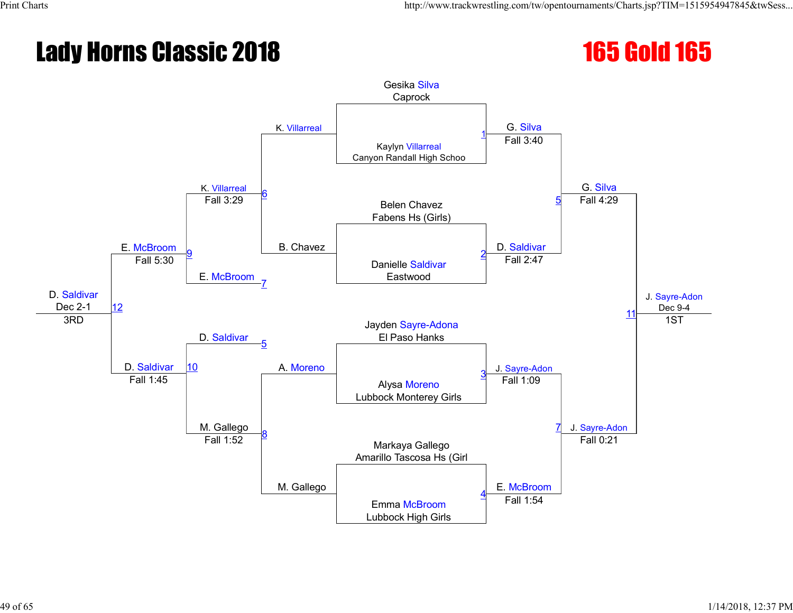#### **Lady Horns Classic 2018** 165 and 165 Gold 165

![](_page_48_Figure_4.jpeg)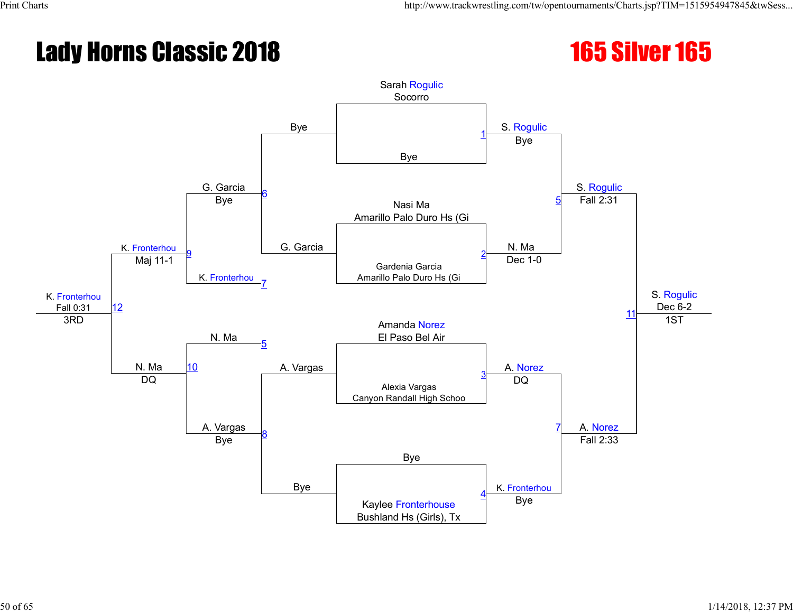#### **Lady Horns Classic 2018** 165 Silver 165

![](_page_49_Picture_3.jpeg)

![](_page_49_Figure_4.jpeg)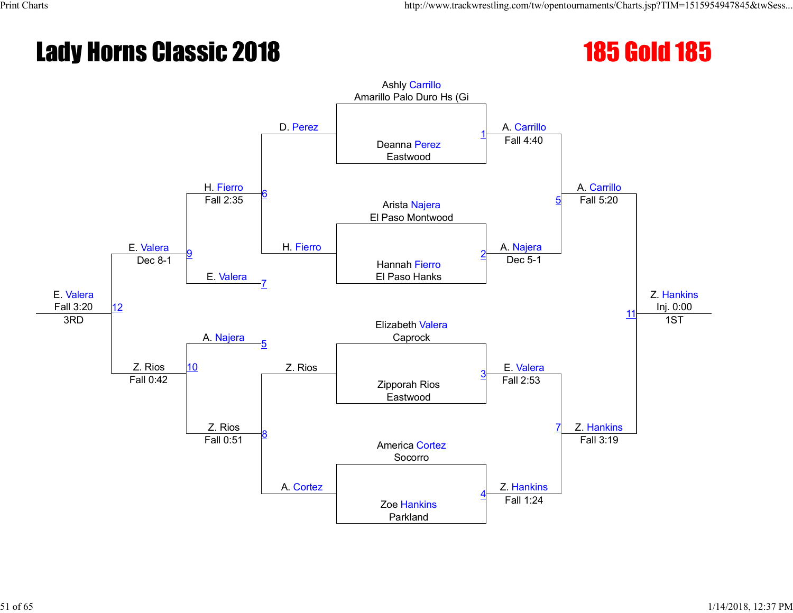#### **Lady Horns Classic 2018** 185 and 185 Gold 185

![](_page_50_Figure_4.jpeg)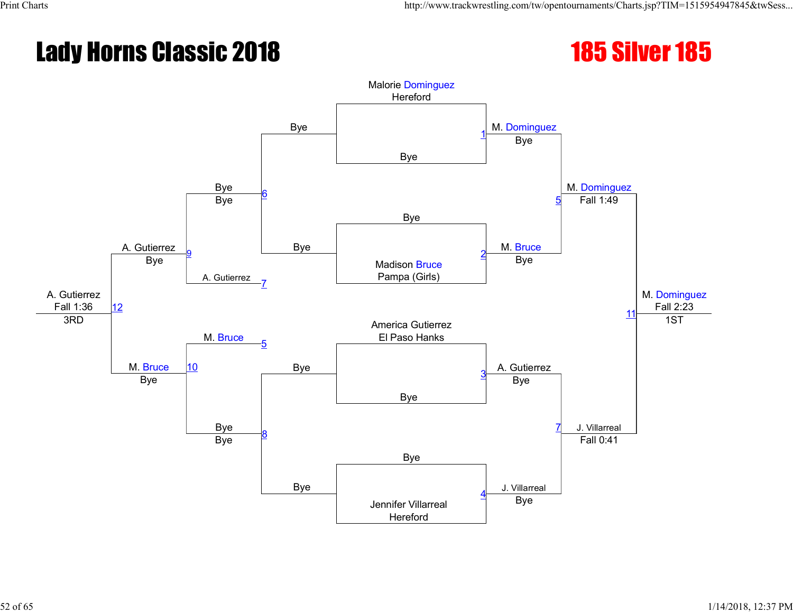#### **Lady Horns Classic 2018** 185 Silver 185

![](_page_51_Picture_3.jpeg)

![](_page_51_Figure_4.jpeg)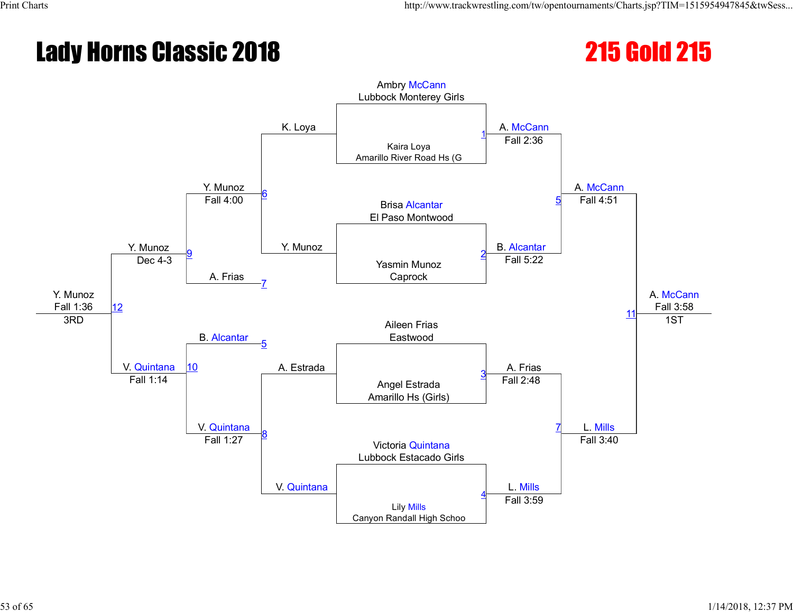#### **Lady Horns Classic 2018** 2018 215 215 Gold 215

![](_page_52_Figure_4.jpeg)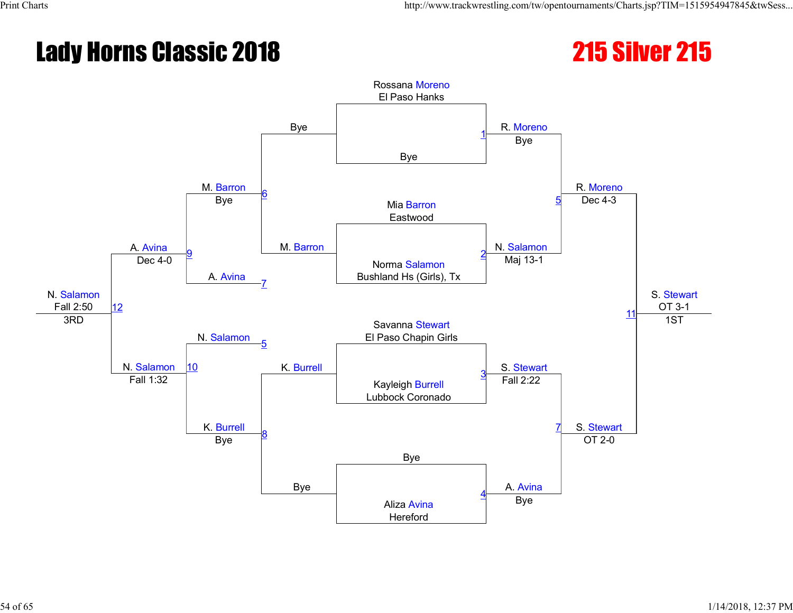#### **Lady Horns Classic 2018** 2018 215 215 215 215 215

![](_page_53_Picture_3.jpeg)

![](_page_53_Figure_4.jpeg)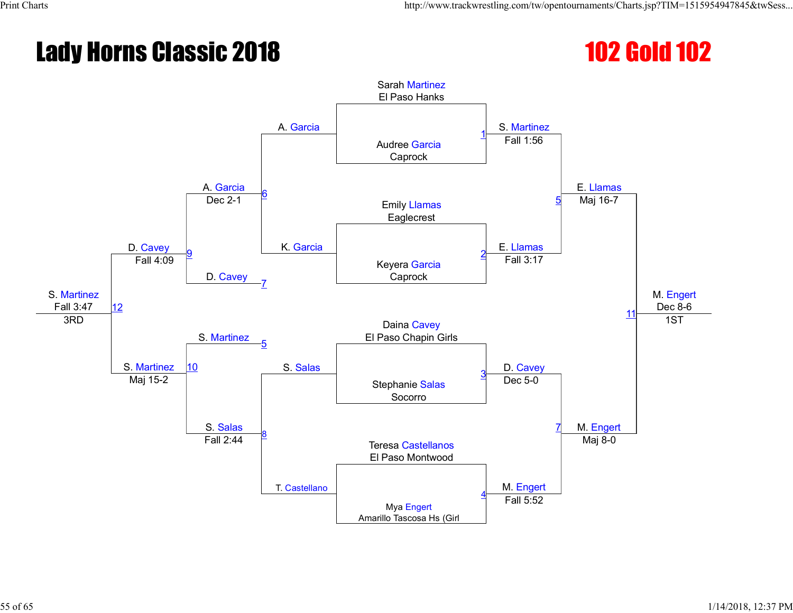#### **Lady Horns Classic 2018** 102 Gold 102

![](_page_54_Figure_4.jpeg)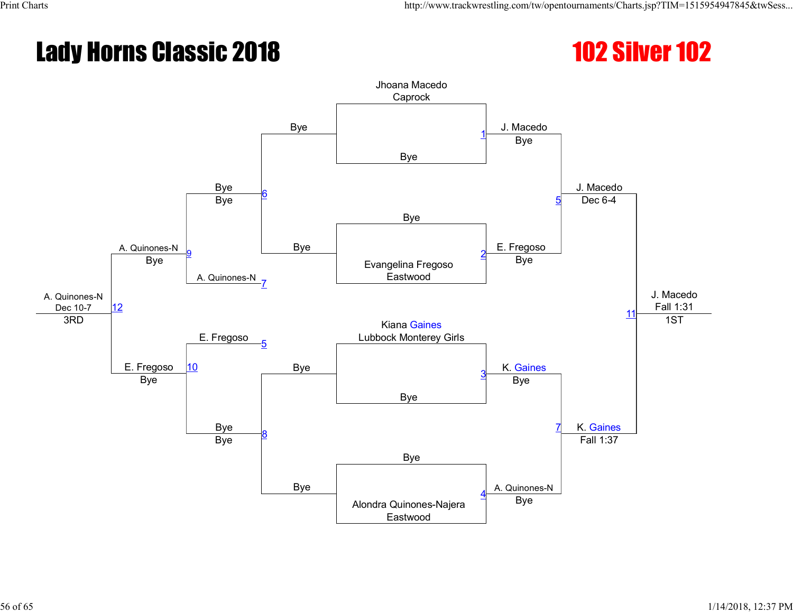#### **Lady Horns Classic 2018** 102 Silver 102

![](_page_55_Picture_3.jpeg)

![](_page_55_Figure_4.jpeg)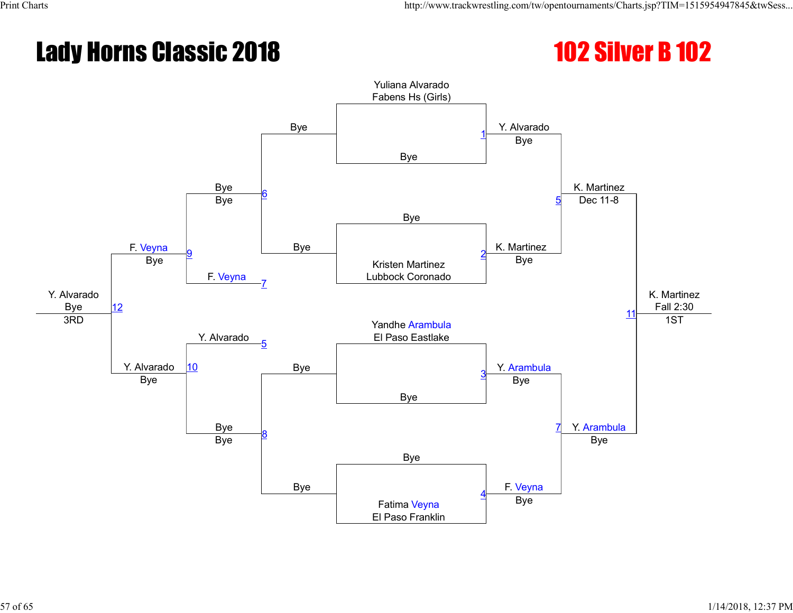#### Lady Horns Classic 2018 102 Silver B 102

![](_page_56_Picture_3.jpeg)

![](_page_56_Figure_4.jpeg)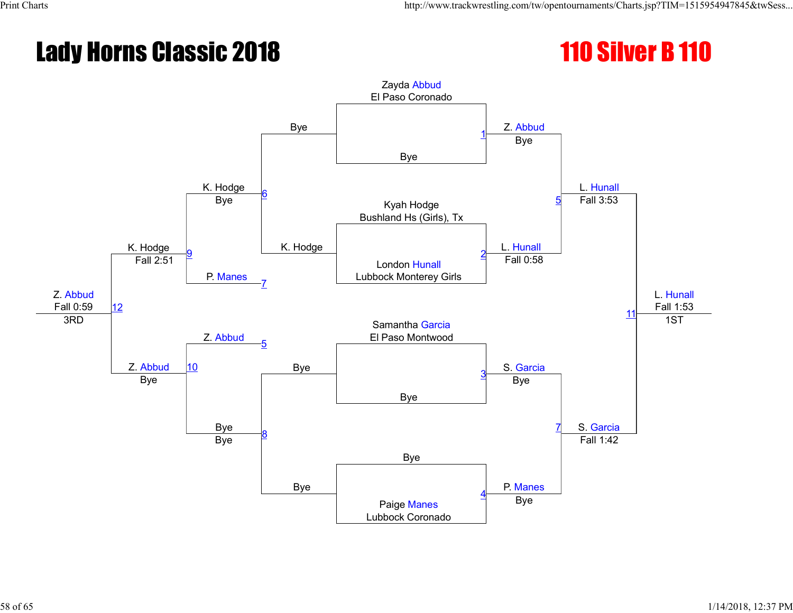#### Lady Horns Classic 2018 110 Silver B 110

![](_page_57_Picture_3.jpeg)

![](_page_57_Figure_4.jpeg)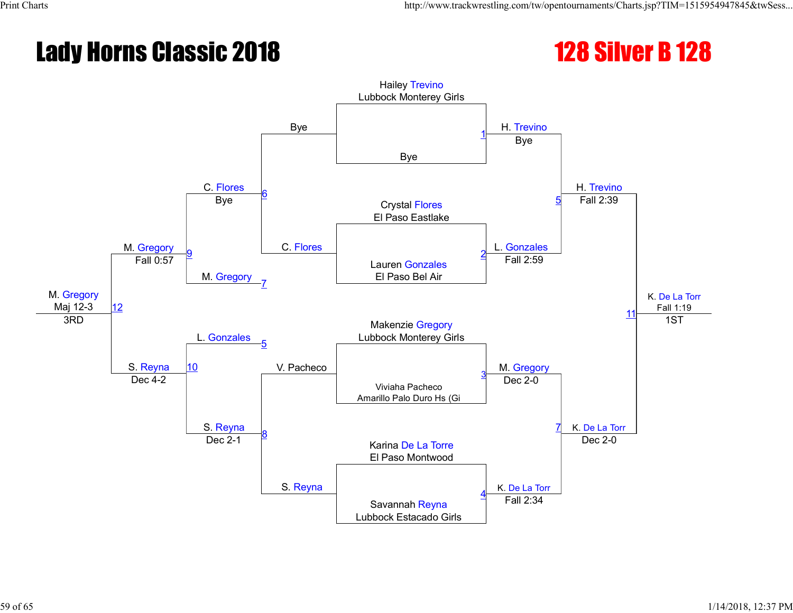#### Lady Horns Classic 2018 128 128 Silver B 128

![](_page_58_Picture_3.jpeg)

![](_page_58_Figure_4.jpeg)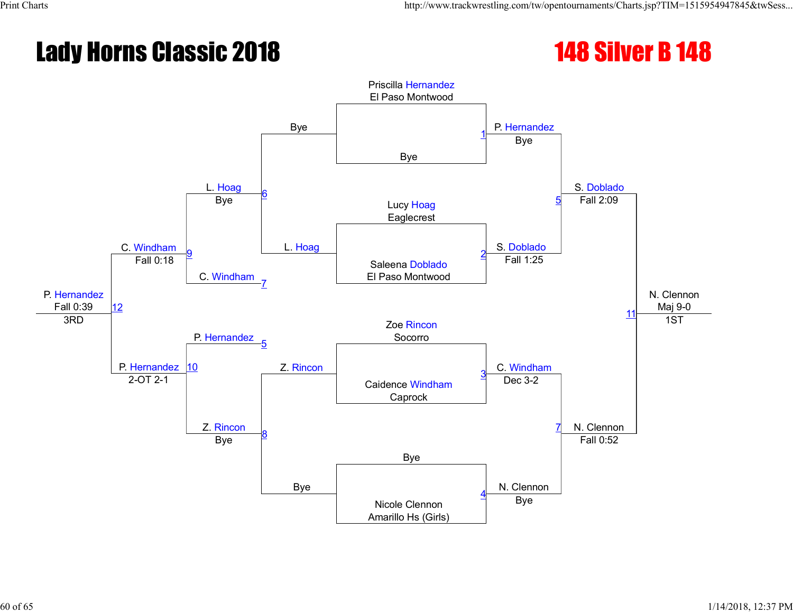#### Lady Horns Classic 2018 **148 Silver B 148**

![](_page_59_Picture_3.jpeg)

![](_page_59_Figure_4.jpeg)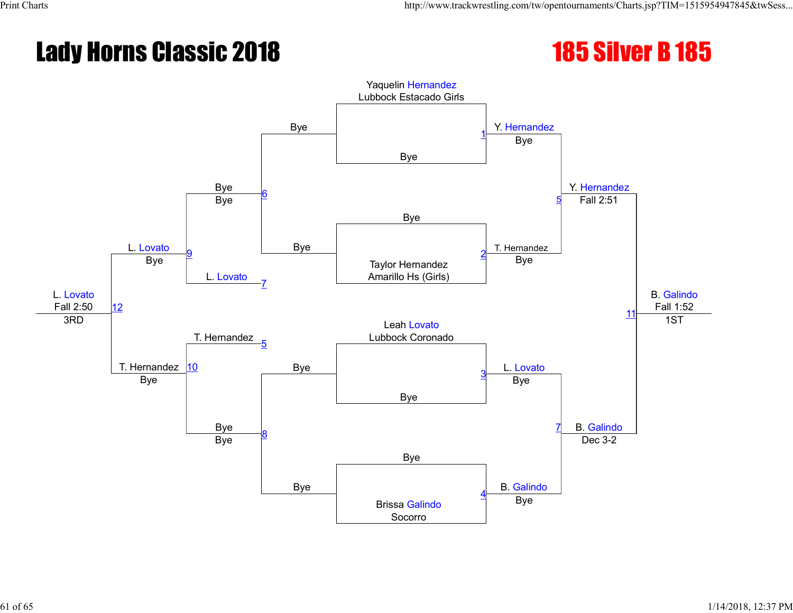# Lady Horns Classic 2018 185 185 185 185

![](_page_60_Picture_3.jpeg)

![](_page_60_Figure_4.jpeg)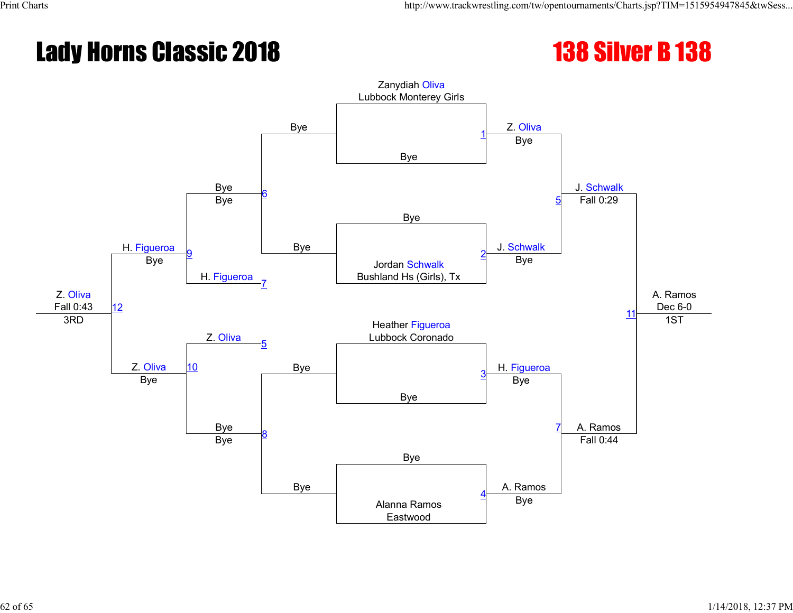#### Lady Horns Classic 2018 138 138 Silver B 138

![](_page_61_Picture_3.jpeg)

![](_page_61_Figure_4.jpeg)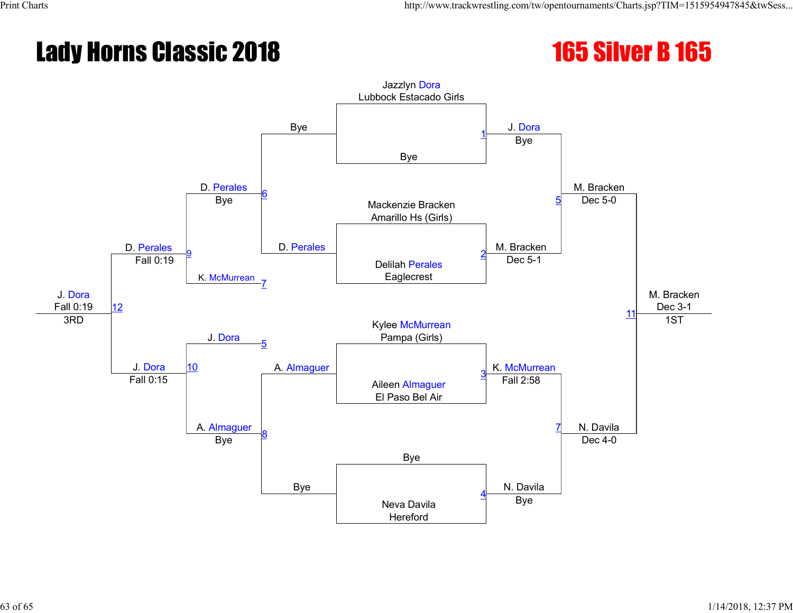#### Lady Horns Classic 2018 165 165 Silver B 165

![](_page_62_Picture_3.jpeg)

![](_page_62_Figure_4.jpeg)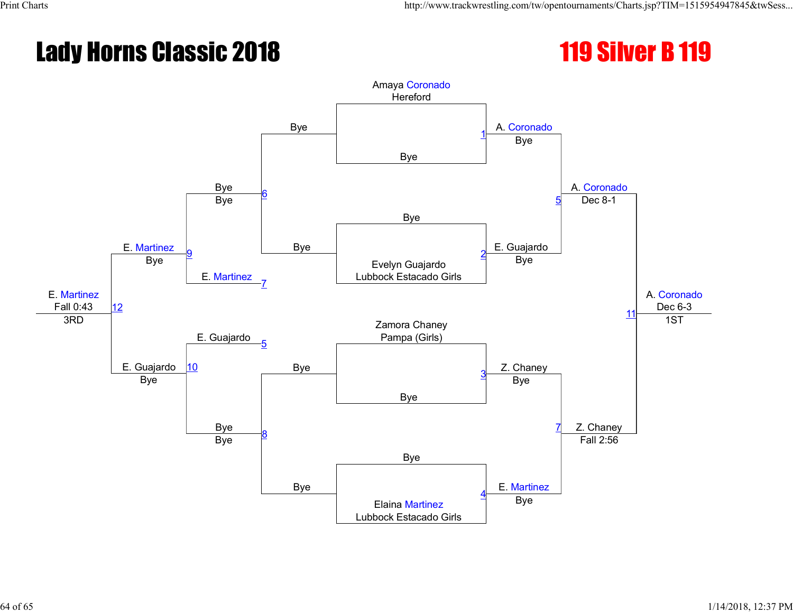# Lady Horns Classic 2018 119 119 Silver B 119

![](_page_63_Picture_3.jpeg)

![](_page_63_Figure_4.jpeg)